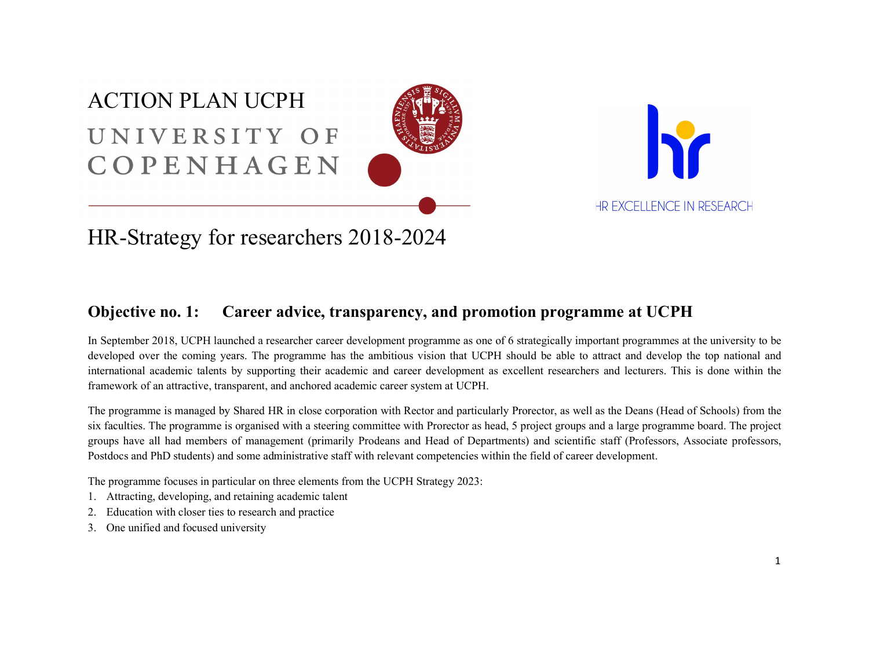# ACTION PLAN UCPH UNIVERSITY OF COPENHAGEN





## HR-Strategy for researchers 2018-2024

### Objective no. 1: Career advice, transparency, and promotion programme at UCPH

In September 2018, UCPH launched a researcher career development programme as one of 6 strategically important programmes at the university to be developed over the coming years. The programme has the ambitious vision that UCPH should be able to attract and develop the top national and international academic talents by supporting their academic and career development as excellent researchers and lecturers. This is done within the framework of an attractive, transparent, and anchored academic career system at UCPH.

The programme is managed by Shared HR in close corporation with Rector and particularly Prorector, as well as the Deans (Head of Schools) from the six faculties. The programme is organised with a steering committee with Prorector as head, 5 project groups and a large programme board. The project groups have all had members of management (primarily Prodeans and Head of Departments) and scientific staff (Professors, Associate professors, Postdocs and PhD students) and some administrative staff with relevant competencies within the field of career development.

The programme focuses in particular on three elements from the UCPH Strategy 2023:

- 1. Attracting, developing, and retaining academic talent
- 2. Education with closer ties to research and practice
- 3. One unified and focused university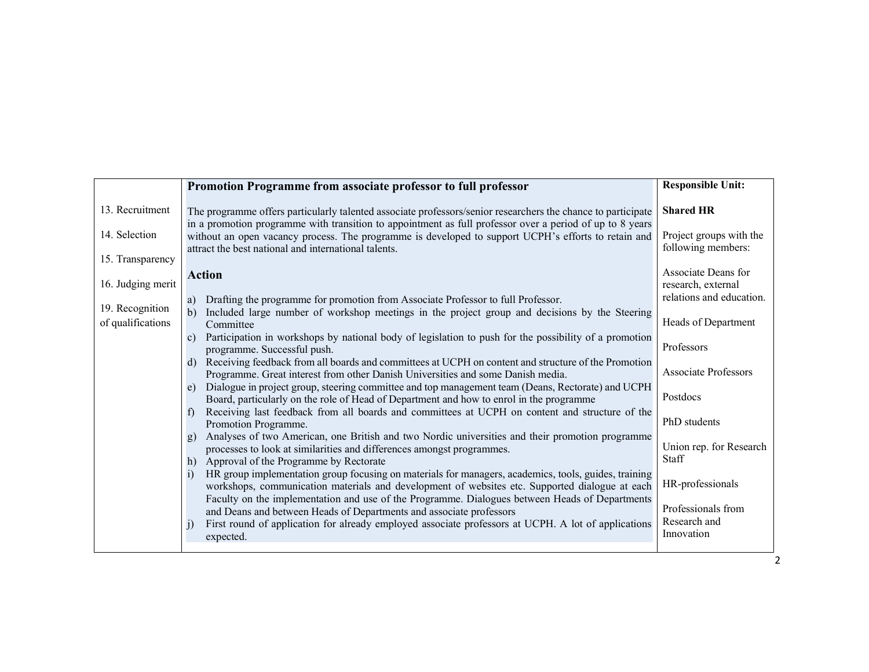|                                      | Promotion Programme from associate professor to full professor                                                                                                                                                                                                          | <b>Responsible Unit:</b>                      |
|--------------------------------------|-------------------------------------------------------------------------------------------------------------------------------------------------------------------------------------------------------------------------------------------------------------------------|-----------------------------------------------|
| 13. Recruitment                      | The programme offers particularly talented associate professors/senior researchers the chance to participate                                                                                                                                                            | <b>Shared HR</b>                              |
| 14. Selection                        | in a promotion programme with transition to appointment as full professor over a period of up to 8 years<br>without an open vacancy process. The programme is developed to support UCPH's efforts to retain and<br>attract the best national and international talents. | Project groups with the<br>following members: |
| 15. Transparency                     |                                                                                                                                                                                                                                                                         |                                               |
| 16. Judging merit                    | <b>Action</b>                                                                                                                                                                                                                                                           | Associate Deans for<br>research, external     |
|                                      | Drafting the programme for promotion from Associate Professor to full Professor.<br>a)                                                                                                                                                                                  | relations and education.                      |
| 19. Recognition<br>of qualifications | Included large number of workshop meetings in the project group and decisions by the Steering<br>$\mathbf{b}$<br>Committee                                                                                                                                              | Heads of Department                           |
|                                      | Participation in workshops by national body of legislation to push for the possibility of a promotion<br>$\mathbf{c}$<br>programme. Successful push.                                                                                                                    | Professors                                    |
|                                      | Receiving feedback from all boards and committees at UCPH on content and structure of the Promotion<br>d)<br>Programme. Great interest from other Danish Universities and some Danish media.                                                                            | <b>Associate Professors</b>                   |
|                                      | Dialogue in project group, steering committee and top management team (Deans, Rectorate) and UCPH<br>e)<br>Board, particularly on the role of Head of Department and how to enrol in the programme                                                                      | Postdocs                                      |
|                                      | Receiving last feedback from all boards and committees at UCPH on content and structure of the<br>$\ddot{\phantom{1}}$<br>Promotion Programme.                                                                                                                          | PhD students                                  |
|                                      | Analyses of two American, one British and two Nordic universities and their promotion programme<br>g)<br>processes to look at similarities and differences amongst programmes.                                                                                          | Union rep. for Research                       |
|                                      | Approval of the Programme by Rectorate<br>h)                                                                                                                                                                                                                            | <b>Staff</b>                                  |
|                                      | HR group implementation group focusing on materials for managers, academics, tools, guides, training<br>$\mathbf{i}$<br>workshops, communication materials and development of websites etc. Supported dialogue at each                                                  | HR-professionals                              |
|                                      | Faculty on the implementation and use of the Programme. Dialogues between Heads of Departments<br>and Deans and between Heads of Departments and associate professors                                                                                                   | Professionals from                            |
|                                      | First round of application for already employed associate professors at UCPH. A lot of applications<br>$\vert$ 1)<br>expected.                                                                                                                                          | Research and<br>Innovation                    |
|                                      |                                                                                                                                                                                                                                                                         |                                               |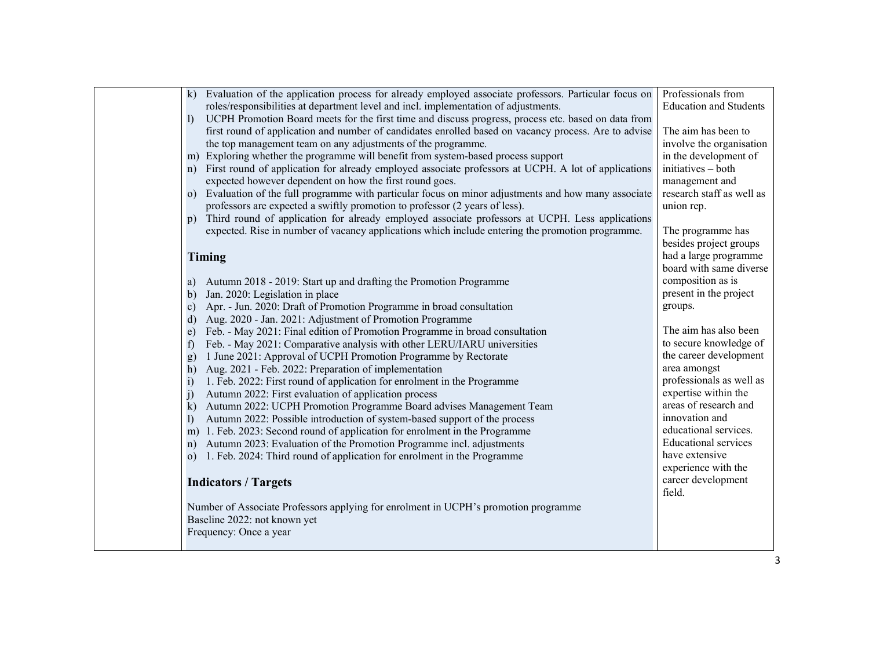| k) Evaluation of the application process for already employed associate professors. Particular focus on                                                                                    | Professionals from                     |
|--------------------------------------------------------------------------------------------------------------------------------------------------------------------------------------------|----------------------------------------|
| roles/responsibilities at department level and incl. implementation of adjustments.<br>UCPH Promotion Board meets for the first time and discuss progress, process etc. based on data from | <b>Education and Students</b>          |
| $\mathbf{I}$<br>first round of application and number of candidates enrolled based on vacancy process. Are to advise                                                                       | The aim has been to                    |
| the top management team on any adjustments of the programme.                                                                                                                               | involve the organisation               |
| m) Exploring whether the programme will benefit from system-based process support                                                                                                          | in the development of                  |
| First round of application for already employed associate professors at UCPH. A lot of applications<br>n)                                                                                  | initiatives – both                     |
| expected however dependent on how the first round goes.                                                                                                                                    | management and                         |
| Evaluation of the full programme with particular focus on minor adjustments and how many associate<br>$\Omega$                                                                             | research staff as well as              |
| professors are expected a swiftly promotion to professor (2 years of less).                                                                                                                | union rep.                             |
| Third round of application for already employed associate professors at UCPH. Less applications<br>$\mathbf{D}$                                                                            |                                        |
| expected. Rise in number of vacancy applications which include entering the promotion programme.                                                                                           | The programme has                      |
|                                                                                                                                                                                            | besides project groups                 |
| Timing                                                                                                                                                                                     | had a large programme                  |
|                                                                                                                                                                                            | board with same diverse                |
| Autumn 2018 - 2019: Start up and drafting the Promotion Programme<br>a)                                                                                                                    | composition as is                      |
| Jan. 2020: Legislation in place<br>$\mathbf{b}$                                                                                                                                            | present in the project                 |
| Apr. - Jun. 2020: Draft of Promotion Programme in broad consultation<br>$\mathbf{c}$                                                                                                       | groups.                                |
| Aug. 2020 - Jan. 2021: Adjustment of Promotion Programme<br>$\mathbf{d}$                                                                                                                   |                                        |
| Feb. - May 2021: Final edition of Promotion Programme in broad consultation<br>$\epsilon$ )                                                                                                | The aim has also been                  |
| Feb. - May 2021: Comparative analysis with other LERU/IARU universities<br>f                                                                                                               | to secure knowledge of                 |
| 1 June 2021: Approval of UCPH Promotion Programme by Rectorate<br>g)                                                                                                                       | the career development<br>area amongst |
| Aug. 2021 - Feb. 2022: Preparation of implementation<br>h)<br>1. Feb. 2022: First round of application for enrolment in the Programme<br>$\mathbf{i}$                                      | professionals as well as               |
| Autumn 2022: First evaluation of application process<br>j)                                                                                                                                 | expertise within the                   |
| Autumn 2022: UCPH Promotion Programme Board advises Management Team<br>$\bf k)$                                                                                                            | areas of research and                  |
| Autumn 2022: Possible introduction of system-based support of the process<br>$\left  \right $                                                                                              | innovation and                         |
| m) 1. Feb. 2023: Second round of application for enrolment in the Programme                                                                                                                | educational services.                  |
| Autumn 2023: Evaluation of the Promotion Programme incl. adjustments<br>n)                                                                                                                 | <b>Educational services</b>            |
| 1. Feb. 2024: Third round of application for enrolment in the Programme<br>$\Omega$                                                                                                        | have extensive                         |
|                                                                                                                                                                                            | experience with the                    |
| <b>Indicators / Targets</b>                                                                                                                                                                | career development                     |
|                                                                                                                                                                                            | field.                                 |
| Number of Associate Professors applying for enrolment in UCPH's promotion programme                                                                                                        |                                        |
| Baseline 2022: not known yet                                                                                                                                                               |                                        |
| Frequency: Once a year                                                                                                                                                                     |                                        |
|                                                                                                                                                                                            |                                        |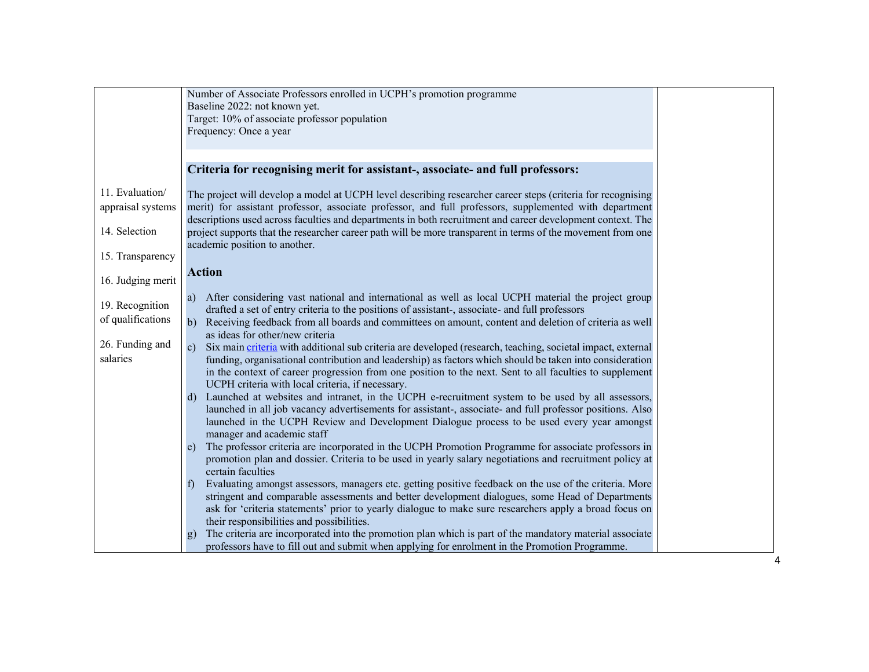|                   | Number of Associate Professors enrolled in UCPH's promotion programme                                                     |
|-------------------|---------------------------------------------------------------------------------------------------------------------------|
|                   | Baseline 2022: not known yet.                                                                                             |
|                   | Target: 10% of associate professor population                                                                             |
|                   | Frequency: Once a year                                                                                                    |
|                   |                                                                                                                           |
|                   |                                                                                                                           |
|                   | Criteria for recognising merit for assistant-, associate- and full professors:                                            |
|                   |                                                                                                                           |
| 11. Evaluation/   | The project will develop a model at UCPH level describing researcher career steps (criteria for recognising               |
| appraisal systems | merit) for assistant professor, associate professor, and full professors, supplemented with department                    |
|                   | descriptions used across faculties and departments in both recruitment and career development context. The                |
| 14. Selection     | project supports that the researcher career path will be more transparent in terms of the movement from one               |
|                   | academic position to another.                                                                                             |
| 15. Transparency  |                                                                                                                           |
|                   | <b>Action</b>                                                                                                             |
| 16. Judging merit |                                                                                                                           |
|                   | a) After considering vast national and international as well as local UCPH material the project group                     |
| 19. Recognition   | drafted a set of entry criteria to the positions of assistant-, associate- and full professors                            |
| of qualifications | b) Receiving feedback from all boards and committees on amount, content and deletion of criteria as well                  |
|                   | as ideas for other/new criteria                                                                                           |
| 26. Funding and   | Six main criteria with additional sub criteria are developed (research, teaching, societal impact, external<br>c)         |
| salaries          | funding, organisational contribution and leadership) as factors which should be taken into consideration                  |
|                   | in the context of career progression from one position to the next. Sent to all faculties to supplement                   |
|                   | UCPH criteria with local criteria, if necessary.                                                                          |
|                   | d) Launched at websites and intranet, in the UCPH e-recruitment system to be used by all assessors,                       |
|                   | launched in all job vacancy advertisements for assistant-, associate- and full professor positions. Also                  |
|                   | launched in the UCPH Review and Development Dialogue process to be used every year amongst                                |
|                   | manager and academic staff                                                                                                |
|                   | The professor criteria are incorporated in the UCPH Promotion Programme for associate professors in<br>e)                 |
|                   | promotion plan and dossier. Criteria to be used in yearly salary negotiations and recruitment policy at                   |
|                   | certain faculties                                                                                                         |
|                   | Evaluating amongst assessors, managers etc. getting positive feedback on the use of the criteria. More<br>$\mathbf{f}$    |
|                   | stringent and comparable assessments and better development dialogues, some Head of Departments                           |
|                   | ask for 'criteria statements' prior to yearly dialogue to make sure researchers apply a broad focus on                    |
|                   | their responsibilities and possibilities.                                                                                 |
|                   | The criteria are incorporated into the promotion plan which is part of the mandatory material associate<br>$\mathbf{g}$ ) |
|                   | professors have to fill out and submit when applying for enrolment in the Promotion Programme.                            |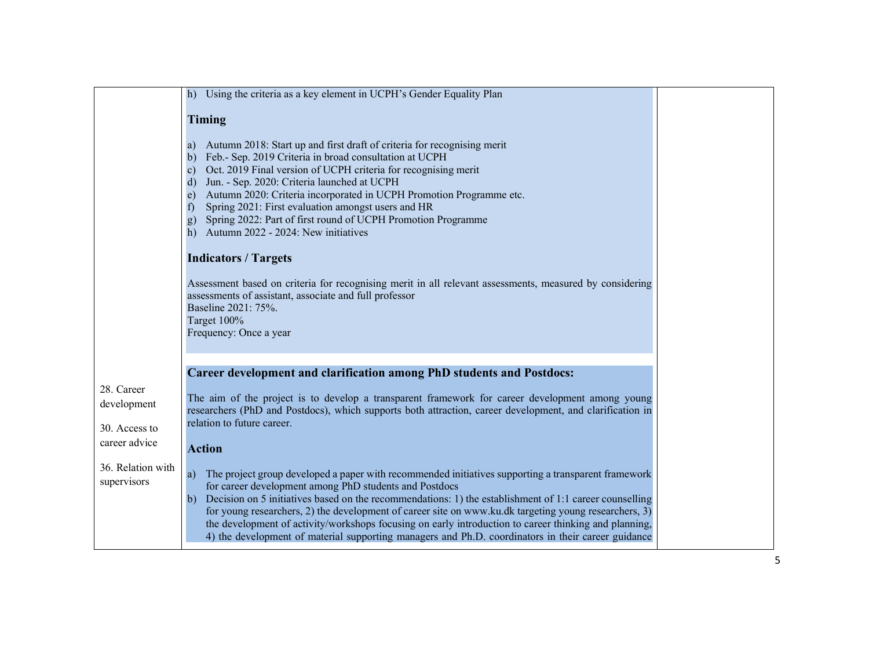|                                  | h) Using the criteria as a key element in UCPH's Gender Equality Plan                                                                                                                                                                                                                                                                                                                                                                                                                                                                                                                                                                                                                                                                                                                                                                |
|----------------------------------|--------------------------------------------------------------------------------------------------------------------------------------------------------------------------------------------------------------------------------------------------------------------------------------------------------------------------------------------------------------------------------------------------------------------------------------------------------------------------------------------------------------------------------------------------------------------------------------------------------------------------------------------------------------------------------------------------------------------------------------------------------------------------------------------------------------------------------------|
|                                  | Timing                                                                                                                                                                                                                                                                                                                                                                                                                                                                                                                                                                                                                                                                                                                                                                                                                               |
|                                  | Autumn 2018: Start up and first draft of criteria for recognising merit<br>a)<br>Feb.- Sep. 2019 Criteria in broad consultation at UCPH<br>$\mathbf{b}$<br>Oct. 2019 Final version of UCPH criteria for recognising merit<br>$\mathbf{c}$<br>Jun. - Sep. 2020: Criteria launched at UCPH<br>d)<br>Autumn 2020: Criteria incorporated in UCPH Promotion Programme etc.<br>e)<br>Spring 2021: First evaluation amongst users and HR<br>f<br>Spring 2022: Part of first round of UCPH Promotion Programme<br>$\bf{g})$<br>Autumn 2022 - 2024: New initiatives<br>h)<br><b>Indicators / Targets</b><br>Assessment based on criteria for recognising merit in all relevant assessments, measured by considering<br>assessments of assistant, associate and full professor<br>Baseline 2021: 75%.<br>Target 100%<br>Frequency: Once a year |
|                                  |                                                                                                                                                                                                                                                                                                                                                                                                                                                                                                                                                                                                                                                                                                                                                                                                                                      |
| 28. Career                       | Career development and clarification among PhD students and Postdocs:                                                                                                                                                                                                                                                                                                                                                                                                                                                                                                                                                                                                                                                                                                                                                                |
| development                      | The aim of the project is to develop a transparent framework for career development among young<br>researchers (PhD and Postdocs), which supports both attraction, career development, and clarification in                                                                                                                                                                                                                                                                                                                                                                                                                                                                                                                                                                                                                          |
| 30. Access to                    | relation to future career.                                                                                                                                                                                                                                                                                                                                                                                                                                                                                                                                                                                                                                                                                                                                                                                                           |
| career advice                    | <b>Action</b>                                                                                                                                                                                                                                                                                                                                                                                                                                                                                                                                                                                                                                                                                                                                                                                                                        |
| 36. Relation with<br>supervisors | The project group developed a paper with recommended initiatives supporting a transparent framework<br>a)<br>for career development among PhD students and Postdocs<br>Decision on 5 initiatives based on the recommendations: 1) the establishment of 1:1 career counselling<br>b)<br>for young researchers, 2) the development of career site on www.ku.dk targeting young researchers, 3)<br>the development of activity/workshops focusing on early introduction to career thinking and planning,<br>4) the development of material supporting managers and Ph.D. coordinators in their career guidance                                                                                                                                                                                                                          |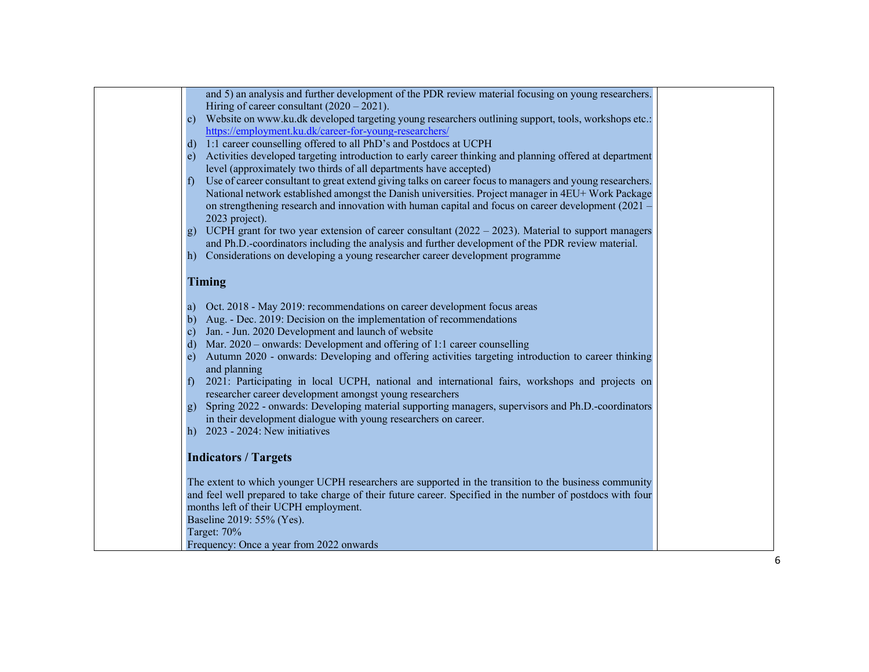| and 5) an analysis and further development of the PDR review material focusing on young researchers.<br>Hiring of career consultant $(2020 – 2021)$ .                                                     |  |
|-----------------------------------------------------------------------------------------------------------------------------------------------------------------------------------------------------------|--|
| Website on www.ku.dk developed targeting young researchers outlining support, tools, workshops etc.:<br>$\mathbf{c}$<br>https://employment.ku.dk/career-for-young-researchers/                            |  |
| 1:1 career counselling offered to all PhD's and Postdocs at UCPH<br>d)                                                                                                                                    |  |
| Activities developed targeting introduction to early career thinking and planning offered at department<br>e)                                                                                             |  |
| level (approximately two thirds of all departments have accepted)                                                                                                                                         |  |
| Use of career consultant to great extend giving talks on career focus to managers and young researchers.<br>$\mathbf{t}$                                                                                  |  |
| National network established amongst the Danish universities. Project manager in 4EU+ Work Package<br>on strengthening research and innovation with human capital and focus on career development (2021 - |  |
| 2023 project).                                                                                                                                                                                            |  |
| UCPH grant for two year extension of career consultant $(2022 - 2023)$ . Material to support managers<br>g)                                                                                               |  |
| and Ph.D.-coordinators including the analysis and further development of the PDR review material.                                                                                                         |  |
| Considerations on developing a young researcher career development programme<br>h)                                                                                                                        |  |
| Timing                                                                                                                                                                                                    |  |
|                                                                                                                                                                                                           |  |
| Oct. 2018 - May 2019: recommendations on career development focus areas<br>a)<br>Aug. - Dec. 2019: Decision on the implementation of recommendations<br>b)                                                |  |
| Jan. - Jun. 2020 Development and launch of website<br>$\mathbf{c}$                                                                                                                                        |  |
| Mar. 2020 – onwards: Development and offering of 1:1 career counselling<br>d)                                                                                                                             |  |
| Autumn 2020 - onwards: Developing and offering activities targeting introduction to career thinking<br>e)                                                                                                 |  |
| and planning<br>2021: Participating in local UCPH, national and international fairs, workshops and projects on                                                                                            |  |
| $\pm$<br>researcher career development amongst young researchers                                                                                                                                          |  |
| Spring 2022 - onwards: Developing material supporting managers, supervisors and Ph.D.-coordinators<br>g)                                                                                                  |  |
| in their development dialogue with young researchers on career.                                                                                                                                           |  |
| h) $2023 - 2024$ : New initiatives                                                                                                                                                                        |  |
| <b>Indicators / Targets</b>                                                                                                                                                                               |  |
| The extent to which younger UCPH researchers are supported in the transition to the business community                                                                                                    |  |
| and feel well prepared to take charge of their future career. Specified in the number of postdocs with four                                                                                               |  |
| months left of their UCPH employment.                                                                                                                                                                     |  |
| Baseline 2019: 55% (Yes).                                                                                                                                                                                 |  |
| Target: 70%<br>Frequency: Once a year from 2022 onwards                                                                                                                                                   |  |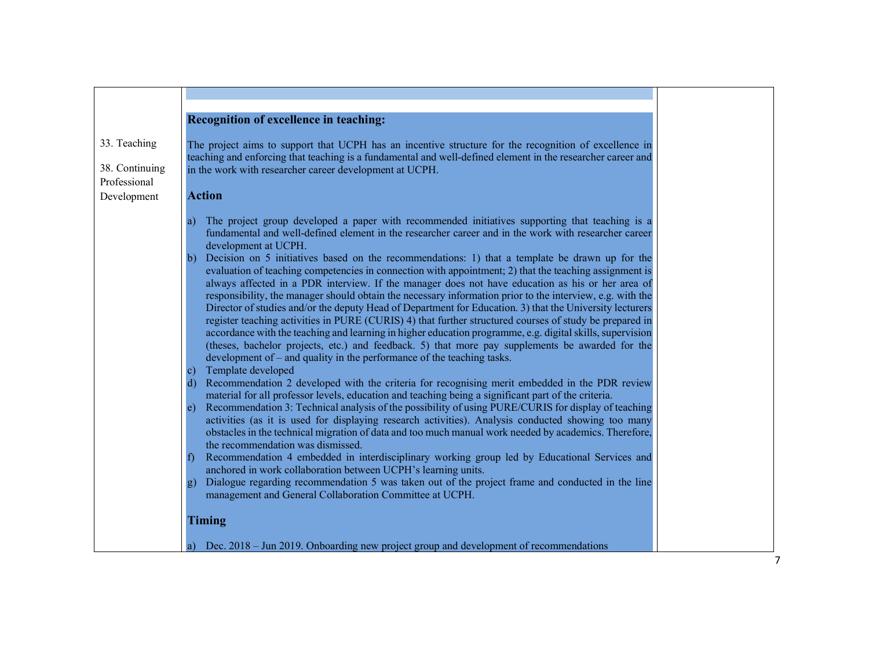|                                                | Recognition of excellence in teaching:                                                                                                                                                                                                                                                                                                                                                                                                                                                                                                                                                                                                                                                                                                                                                                                                                                                                                                                                                                                                                                                                                                                                                                                                                                                                                                                                                                                                                                                                                                                                                                                                                                                                                                                                                                                                                                                                                                                                                                                                                                                                                                                                             |
|------------------------------------------------|------------------------------------------------------------------------------------------------------------------------------------------------------------------------------------------------------------------------------------------------------------------------------------------------------------------------------------------------------------------------------------------------------------------------------------------------------------------------------------------------------------------------------------------------------------------------------------------------------------------------------------------------------------------------------------------------------------------------------------------------------------------------------------------------------------------------------------------------------------------------------------------------------------------------------------------------------------------------------------------------------------------------------------------------------------------------------------------------------------------------------------------------------------------------------------------------------------------------------------------------------------------------------------------------------------------------------------------------------------------------------------------------------------------------------------------------------------------------------------------------------------------------------------------------------------------------------------------------------------------------------------------------------------------------------------------------------------------------------------------------------------------------------------------------------------------------------------------------------------------------------------------------------------------------------------------------------------------------------------------------------------------------------------------------------------------------------------------------------------------------------------------------------------------------------------|
| 33. Teaching<br>38. Continuing<br>Professional | The project aims to support that UCPH has an incentive structure for the recognition of excellence in<br>teaching and enforcing that teaching is a fundamental and well-defined element in the researcher career and<br>in the work with researcher career development at UCPH.                                                                                                                                                                                                                                                                                                                                                                                                                                                                                                                                                                                                                                                                                                                                                                                                                                                                                                                                                                                                                                                                                                                                                                                                                                                                                                                                                                                                                                                                                                                                                                                                                                                                                                                                                                                                                                                                                                    |
| Development                                    | <b>Action</b>                                                                                                                                                                                                                                                                                                                                                                                                                                                                                                                                                                                                                                                                                                                                                                                                                                                                                                                                                                                                                                                                                                                                                                                                                                                                                                                                                                                                                                                                                                                                                                                                                                                                                                                                                                                                                                                                                                                                                                                                                                                                                                                                                                      |
|                                                | The project group developed a paper with recommended initiatives supporting that teaching is a<br>a)<br>fundamental and well-defined element in the researcher career and in the work with researcher career<br>development at UCPH.<br>Decision on 5 initiatives based on the recommendations: 1) that a template be drawn up for the<br>b)<br>evaluation of teaching competencies in connection with appointment; 2) that the teaching assignment is<br>always affected in a PDR interview. If the manager does not have education as his or her area of<br>responsibility, the manager should obtain the necessary information prior to the interview, e.g. with the<br>Director of studies and/or the deputy Head of Department for Education. 3) that the University lecturers<br>register teaching activities in PURE (CURIS) 4) that further structured courses of study be prepared in<br>accordance with the teaching and learning in higher education programme, e.g. digital skills, supervision<br>(theses, bachelor projects, etc.) and feedback. 5) that more pay supplements be awarded for the<br>development of $-$ and quality in the performance of the teaching tasks.<br>Template developed<br>$\mathbf{c}$ )<br>Recommendation 2 developed with the criteria for recognising merit embedded in the PDR review<br>d)<br>material for all professor levels, education and teaching being a significant part of the criteria.<br>Recommendation 3: Technical analysis of the possibility of using PURE/CURIS for display of teaching<br>e)<br>activities (as it is used for displaying research activities). Analysis conducted showing too many<br>obstacles in the technical migration of data and too much manual work needed by academics. Therefore,<br>the recommendation was dismissed.<br>Recommendation 4 embedded in interdisciplinary working group led by Educational Services and<br>anchored in work collaboration between UCPH's learning units.<br>Dialogue regarding recommendation 5 was taken out of the project frame and conducted in the line<br>$\mathbf{g}$<br>management and General Collaboration Committee at UCPH.<br><b>Timing</b> |
|                                                | Dec. 2018 – Jun 2019. Onboarding new project group and development of recommendations                                                                                                                                                                                                                                                                                                                                                                                                                                                                                                                                                                                                                                                                                                                                                                                                                                                                                                                                                                                                                                                                                                                                                                                                                                                                                                                                                                                                                                                                                                                                                                                                                                                                                                                                                                                                                                                                                                                                                                                                                                                                                              |

7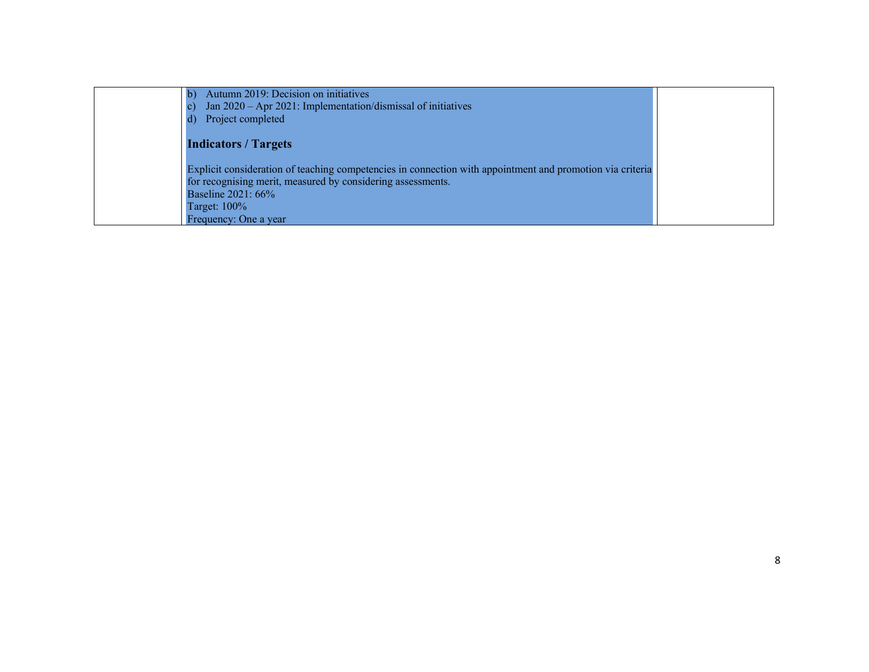| Autumn 2019: Decision on initiatives<br>Jan 2020 - Apr 2021: Implementation/dismissal of initiatives      |  |
|-----------------------------------------------------------------------------------------------------------|--|
| Project completed                                                                                         |  |
| <b>Indicators / Targets</b>                                                                               |  |
| Explicit consideration of teaching competencies in connection with appointment and promotion via criteria |  |
| for recognising merit, measured by considering assessments.                                               |  |
| Baseline 2021: 66%                                                                                        |  |
| Target: $100\%$                                                                                           |  |
| Frequency: One a year                                                                                     |  |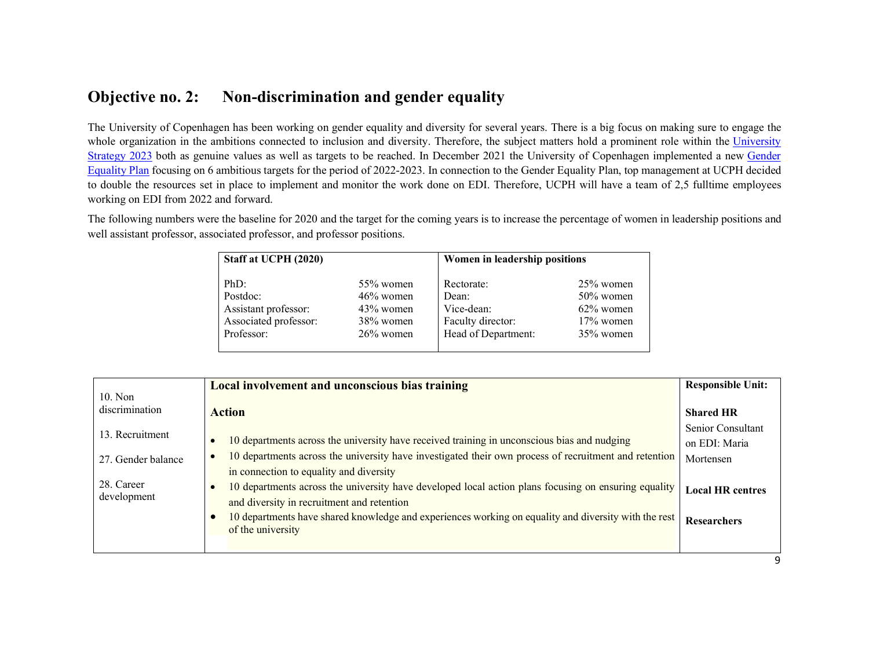### Objective no. 2: Non-discrimination and gender equality

The University of Copenhagen has been working on gender equality and diversity for several years. There is a big focus on making sure to engage the whole organization in the ambitions connected to inclusion and diversity. Therefore, the subject matters hold a prominent role within the University Strategy 2023 both as genuine values as well as targets to be reached. In December 2021 the University of Copenhagen implemented a new Gender Equality Plan focusing on 6 ambitious targets for the period of 2022-2023. In connection to the Gender Equality Plan, top management at UCPH decided to double the resources set in place to implement and monitor the work done on EDI. Therefore, UCPH will have a team of 2,5 fulltime employees working on EDI from 2022 and forward.

The following numbers were the baseline for 2020 and the target for the coming years is to increase the percentage of women in leadership positions and well assistant professor, associated professor, and professor positions.

| Staff at UCPH (2020)  |              | Women in leadership positions |              |
|-----------------------|--------------|-------------------------------|--------------|
| PhD:                  | $55\%$ women | Rectorate:                    | $25\%$ women |
| Postdoc:              | $46\%$ women | Dean:                         | $50\%$ women |
| Assistant professor:  | $43\%$ women | Vice-dean:                    | $62\%$ women |
| Associated professor: | 38% women    | Faculty director:             | $17\%$ women |
| Professor:            | $26\%$ women | Head of Department:           | $35\%$ women |

|                             | Local involvement and unconscious bias training                                                       | <b>Responsible Unit:</b> |
|-----------------------------|-------------------------------------------------------------------------------------------------------|--------------------------|
| $10.$ Non<br>discrimination | <b>Action</b>                                                                                         | <b>Shared HR</b>         |
| 13. Recruitment             |                                                                                                       | Senior Consultant        |
|                             | 10 departments across the university have received training in unconscious bias and nudging           | on EDI: Maria            |
| 27. Gender balance          | 10 departments across the university have investigated their own process of recruitment and retention | Mortensen                |
|                             | in connection to equality and diversity                                                               |                          |
| 28. Career                  | 10 departments across the university have developed local action plans focusing on ensuring equality  | <b>Local HR centres</b>  |
| development                 | and diversity in recruitment and retention                                                            |                          |
|                             | 10 departments have shared knowledge and experiences working on equality and diversity with the rest  | Researchers              |
|                             | of the university                                                                                     |                          |
|                             |                                                                                                       |                          |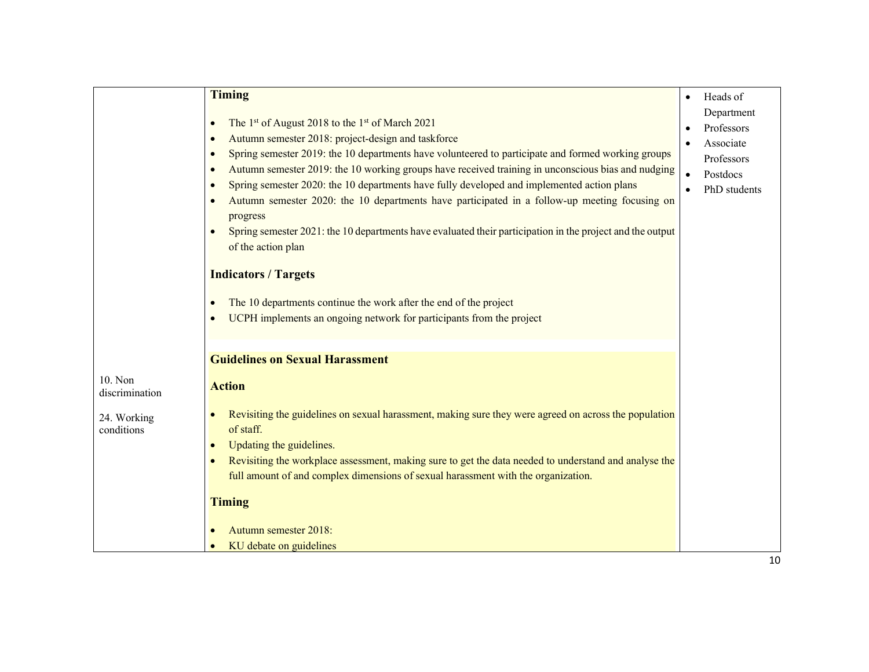|                                                        | <b>Timing</b><br>The 1 <sup>st</sup> of August 2018 to the 1 <sup>st</sup> of March 2021<br>$\bullet$<br>Autumn semester 2018: project-design and taskforce<br>$\bullet$<br>Spring semester 2019: the 10 departments have volunteered to participate and formed working groups<br>$\bullet$<br>Autumn semester 2019: the 10 working groups have received training in unconscious bias and nudging<br>$\bullet$<br>Spring semester 2020: the 10 departments have fully developed and implemented action plans<br>$\bullet$<br>Autumn semester 2020: the 10 departments have participated in a follow-up meeting focusing on<br>progress<br>Spring semester 2021: the 10 departments have evaluated their participation in the project and the output<br>$\bullet$<br>of the action plan<br><b>Indicators / Targets</b><br>The 10 departments continue the work after the end of the project<br>$\bullet$<br>UCPH implements an ongoing network for participants from the project | Heads of<br>$\bullet$<br>Department<br>Professors<br>Associate<br>Professors<br>Postdocs<br>$\bullet$<br>PhD students |
|--------------------------------------------------------|---------------------------------------------------------------------------------------------------------------------------------------------------------------------------------------------------------------------------------------------------------------------------------------------------------------------------------------------------------------------------------------------------------------------------------------------------------------------------------------------------------------------------------------------------------------------------------------------------------------------------------------------------------------------------------------------------------------------------------------------------------------------------------------------------------------------------------------------------------------------------------------------------------------------------------------------------------------------------------|-----------------------------------------------------------------------------------------------------------------------|
|                                                        | <b>Guidelines on Sexual Harassment</b>                                                                                                                                                                                                                                                                                                                                                                                                                                                                                                                                                                                                                                                                                                                                                                                                                                                                                                                                          |                                                                                                                       |
| 10. Non<br>discrimination<br>24. Working<br>conditions | <b>Action</b><br>Revisiting the guidelines on sexual harassment, making sure they were agreed on across the population<br>of staff.<br>Updating the guidelines.<br>Revisiting the workplace assessment, making sure to get the data needed to understand and analyse the<br>full amount of and complex dimensions of sexual harassment with the organization.<br><b>Timing</b><br>Autumn semester 2018:<br>KU debate on guidelines                                                                                                                                                                                                                                                                                                                                                                                                                                                                                                                                              |                                                                                                                       |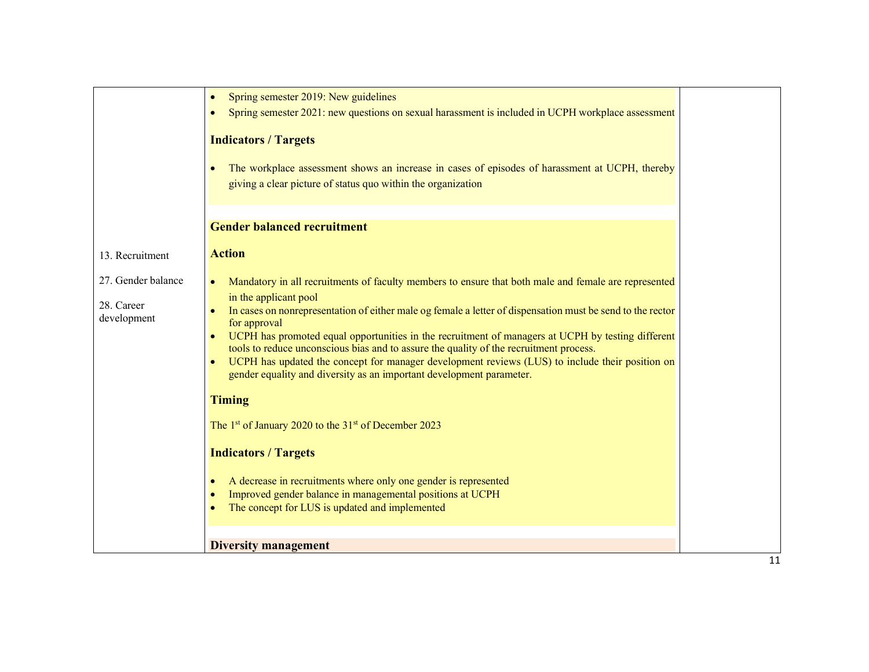|                                                 | Spring semester 2019: New guidelines<br>Spring semester 2021: new questions on sexual harassment is included in UCPH workplace assessment<br><b>Indicators / Targets</b><br>The workplace assessment shows an increase in cases of episodes of harassment at UCPH, thereby<br>giving a clear picture of status quo within the organization                                                                                                                                                                                                                                                                                                                                                                                                                                                                                                            |
|-------------------------------------------------|-------------------------------------------------------------------------------------------------------------------------------------------------------------------------------------------------------------------------------------------------------------------------------------------------------------------------------------------------------------------------------------------------------------------------------------------------------------------------------------------------------------------------------------------------------------------------------------------------------------------------------------------------------------------------------------------------------------------------------------------------------------------------------------------------------------------------------------------------------|
|                                                 | <b>Gender balanced recruitment</b>                                                                                                                                                                                                                                                                                                                                                                                                                                                                                                                                                                                                                                                                                                                                                                                                                    |
| 13. Recruitment                                 | <b>Action</b>                                                                                                                                                                                                                                                                                                                                                                                                                                                                                                                                                                                                                                                                                                                                                                                                                                         |
| 27. Gender balance<br>28. Career<br>development | Mandatory in all recruitments of faculty members to ensure that both male and female are represented<br>$\bullet$<br>in the applicant pool<br>In cases on nonrepresentation of either male og female a letter of dispensation must be send to the rector<br>for approval<br>UCPH has promoted equal opportunities in the recruitment of managers at UCPH by testing different<br>tools to reduce unconscious bias and to assure the quality of the recruitment process.<br>UCPH has updated the concept for manager development reviews (LUS) to include their position on<br>gender equality and diversity as an important development parameter.<br><b>Timing</b><br>The 1 <sup>st</sup> of January 2020 to the 31 <sup>st</sup> of December 2023<br><b>Indicators / Targets</b><br>A decrease in recruitments where only one gender is represented |
|                                                 | Improved gender balance in managemental positions at UCPH                                                                                                                                                                                                                                                                                                                                                                                                                                                                                                                                                                                                                                                                                                                                                                                             |
|                                                 | The concept for LUS is updated and implemented                                                                                                                                                                                                                                                                                                                                                                                                                                                                                                                                                                                                                                                                                                                                                                                                        |
|                                                 | <b>Diversity management</b>                                                                                                                                                                                                                                                                                                                                                                                                                                                                                                                                                                                                                                                                                                                                                                                                                           |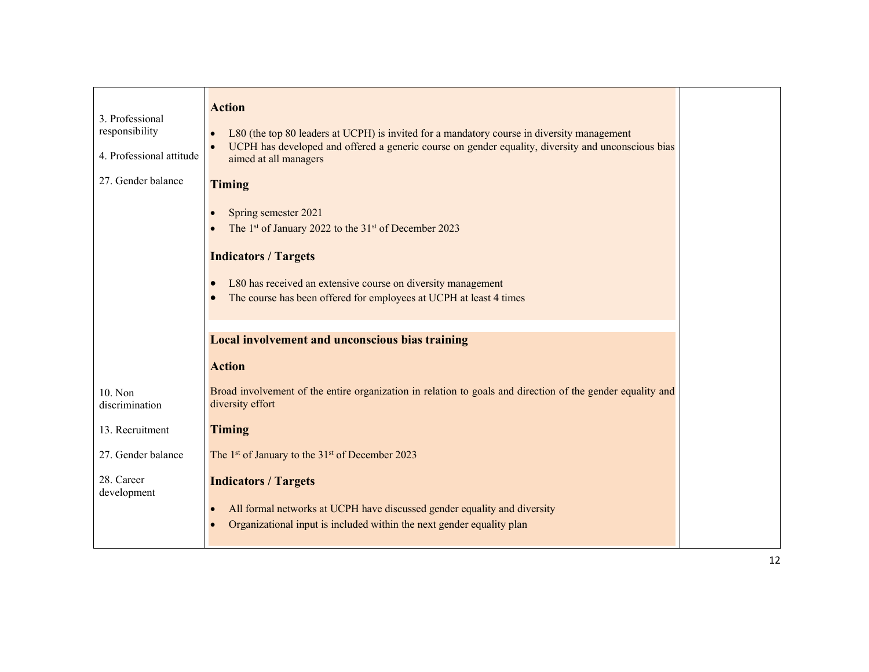| 3. Professional<br>responsibility<br>4. Professional attitude | <b>Action</b><br>L80 (the top 80 leaders at UCPH) is invited for a mandatory course in diversity management<br>UCPH has developed and offered a generic course on gender equality, diversity and unconscious bias<br>aimed at all managers                                |  |
|---------------------------------------------------------------|---------------------------------------------------------------------------------------------------------------------------------------------------------------------------------------------------------------------------------------------------------------------------|--|
| 27. Gender balance                                            | <b>Timing</b>                                                                                                                                                                                                                                                             |  |
|                                                               | Spring semester 2021<br>The 1 <sup>st</sup> of January 2022 to the 31 <sup>st</sup> of December 2023<br><b>Indicators / Targets</b><br>L80 has received an extensive course on diversity management<br>The course has been offered for employees at UCPH at least 4 times |  |
|                                                               | <b>Local involvement and unconscious bias training</b>                                                                                                                                                                                                                    |  |
|                                                               | <b>Action</b>                                                                                                                                                                                                                                                             |  |
| 10. Non<br>discrimination                                     | Broad involvement of the entire organization in relation to goals and direction of the gender equality and<br>diversity effort                                                                                                                                            |  |
| 13. Recruitment                                               | <b>Timing</b>                                                                                                                                                                                                                                                             |  |
| 27. Gender balance                                            | The 1 <sup>st</sup> of January to the 31 <sup>st</sup> of December 2023                                                                                                                                                                                                   |  |
| 28. Career<br>development                                     | <b>Indicators / Targets</b><br>All formal networks at UCPH have discussed gender equality and diversity<br>$\bullet$<br>Organizational input is included within the next gender equality plan                                                                             |  |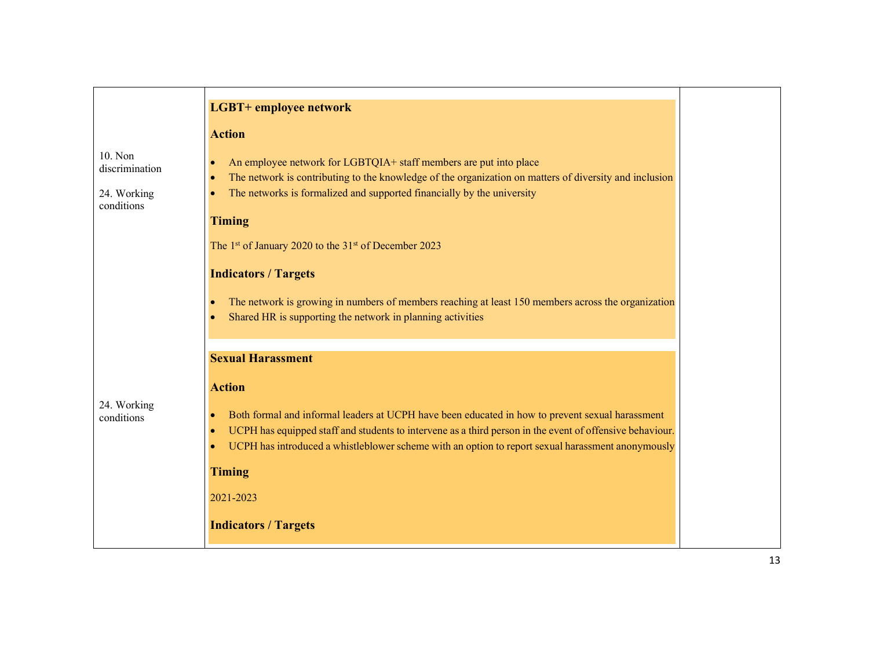|                                                        | <b>LGBT+</b> employee network                                                                                                                                                                                                                                                                                                                                            |
|--------------------------------------------------------|--------------------------------------------------------------------------------------------------------------------------------------------------------------------------------------------------------------------------------------------------------------------------------------------------------------------------------------------------------------------------|
|                                                        | <b>Action</b>                                                                                                                                                                                                                                                                                                                                                            |
| 10. Non<br>discrimination<br>24. Working<br>conditions | An employee network for LGBTQIA+ staff members are put into place<br>$\bullet$<br>The network is contributing to the knowledge of the organization on matters of diversity and inclusion<br>$\bullet$<br>The networks is formalized and supported financially by the university<br>$\bullet$                                                                             |
|                                                        | <b>Timing</b>                                                                                                                                                                                                                                                                                                                                                            |
|                                                        | The 1st of January 2020 to the 31st of December 2023                                                                                                                                                                                                                                                                                                                     |
|                                                        | <b>Indicators / Targets</b>                                                                                                                                                                                                                                                                                                                                              |
|                                                        | The network is growing in numbers of members reaching at least 150 members across the organization<br>$\bullet$<br>Shared HR is supporting the network in planning activities<br>$\bullet$                                                                                                                                                                               |
|                                                        | <b>Sexual Harassment</b>                                                                                                                                                                                                                                                                                                                                                 |
|                                                        |                                                                                                                                                                                                                                                                                                                                                                          |
| 24. Working<br>conditions                              | <b>Action</b><br>Both formal and informal leaders at UCPH have been educated in how to prevent sexual harassment<br>$\bullet$<br>UCPH has equipped staff and students to intervene as a third person in the event of offensive behaviour.<br>$\bullet$<br>UCPH has introduced a whistleblower scheme with an option to report sexual harassment anonymously<br>$\bullet$ |
|                                                        | <b>Timing</b>                                                                                                                                                                                                                                                                                                                                                            |
|                                                        | 2021-2023                                                                                                                                                                                                                                                                                                                                                                |
|                                                        | <b>Indicators / Targets</b>                                                                                                                                                                                                                                                                                                                                              |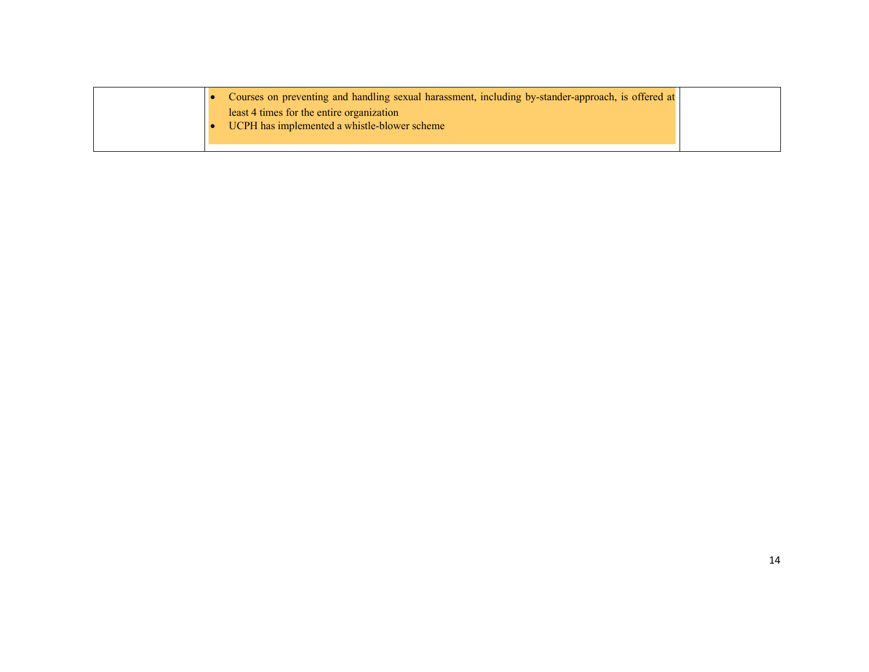| least 4 times for the entire organization<br>UCPH has implemented a whistle-blower scheme |  | Courses on preventing and handling sexual harassment, including by-stander-approach, is offered at |  |
|-------------------------------------------------------------------------------------------|--|----------------------------------------------------------------------------------------------------|--|
|                                                                                           |  |                                                                                                    |  |
|                                                                                           |  |                                                                                                    |  |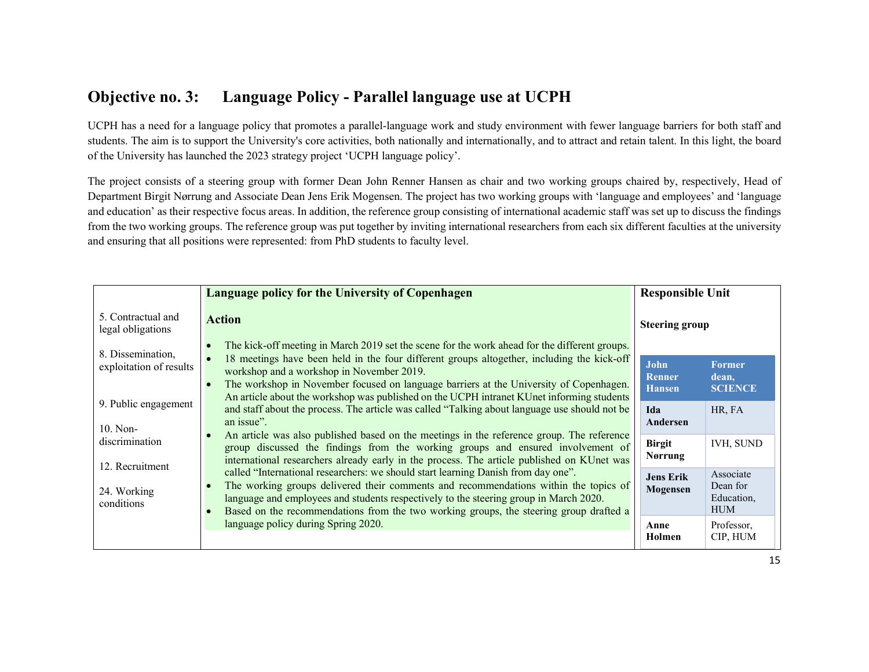### Objective no. 3: Language Policy - Parallel language use at UCPH

UCPH has a need for a language policy that promotes a parallel-language work and study environment with fewer language barriers for both staff and students. The aim is to support the University's core activities, both nationally and internationally, and to attract and retain talent. In this light, the board of the University has launched the 2023 strategy project 'UCPH language policy'.

The project consists of a steering group with former Dean John Renner Hansen as chair and two working groups chaired by, respectively, Head of Department Birgit Nørrung and Associate Dean Jens Erik Mogensen. The project has two working groups with 'language and employees' and 'language and education' as their respective focus areas. In addition, the reference group consisting of international academic staff was set up to discuss the findings from the two working groups. The reference group was put together by inviting international researchers from each six different faculties at the university and ensuring that all positions were represented: from PhD students to faculty level.

|                                              | Language policy for the University of Copenhagen                                                                                                                                                                                                                                                                                                                                                                                                            | <b>Responsible Unit</b>                |                                                   |
|----------------------------------------------|-------------------------------------------------------------------------------------------------------------------------------------------------------------------------------------------------------------------------------------------------------------------------------------------------------------------------------------------------------------------------------------------------------------------------------------------------------------|----------------------------------------|---------------------------------------------------|
| 5. Contractual and<br>legal obligations      | <b>Action</b>                                                                                                                                                                                                                                                                                                                                                                                                                                               | <b>Steering group</b>                  |                                                   |
| 8. Dissemination,<br>exploitation of results | The kick-off meeting in March 2019 set the scene for the work ahead for the different groups.<br>$\epsilon$<br>18 meetings have been held in the four different groups altogether, including the kick-off<br>workshop and a workshop in November 2019.<br>The workshop in November focused on language barriers at the University of Copenhagen.<br>$\epsilon$<br>An article about the workshop was published on the UCPH intranet KUnet informing students | John<br><b>Renner</b><br><b>Hansen</b> | <b>Former</b><br>dean,<br><b>SCIENCE</b>          |
| 9. Public engagement<br>$10.$ Non-           | and staff about the process. The article was called "Talking about language use should not be<br>an issue".                                                                                                                                                                                                                                                                                                                                                 | Ida<br>Andersen                        | HR, FA                                            |
| discrimination<br>12. Recruitment            | An article was also published based on the meetings in the reference group. The reference<br>group discussed the findings from the working groups and ensured involvement of<br>international researchers already early in the process. The article published on KUnet was                                                                                                                                                                                  | <b>Birgit</b><br><b>Nørrung</b>        | <b>IVH, SUND</b>                                  |
| 24. Working<br>conditions                    | called "International researchers: we should start learning Danish from day one".<br>The working groups delivered their comments and recommendations within the topics of<br>$\epsilon$<br>language and employees and students respectively to the steering group in March 2020.<br>Based on the recommendations from the two working groups, the steering group drafted a                                                                                  | <b>Jens Erik</b><br>Mogensen           | Associate<br>Dean for<br>Education,<br><b>HUM</b> |
|                                              | language policy during Spring 2020.                                                                                                                                                                                                                                                                                                                                                                                                                         | Anne<br>Holmen                         | Professor,<br>CIP, HUM                            |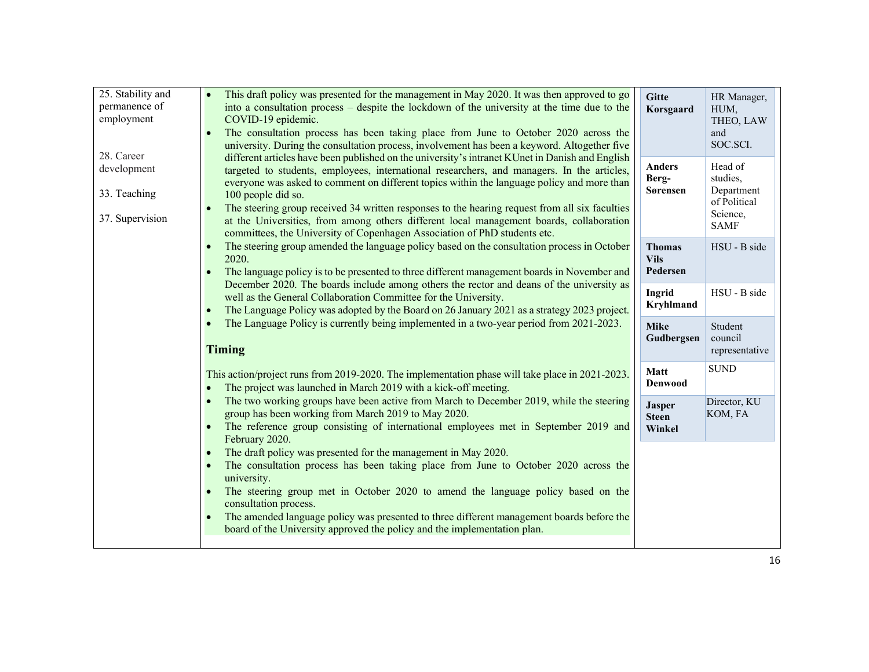| 25. Stability and<br>permanence of<br>employment<br>28. Career | This draft policy was presented for the management in May 2020. It was then approved to go<br>into a consultation process – despite the lockdown of the university at the time due to the<br>COVID-19 epidemic.<br>The consultation process has been taking place from June to October 2020 across the<br>university. During the consultation process, involvement has been a keyword. Altogether five                                                                                                                                                                                      | <b>Gitte</b><br>Korsgaard                | HR Manager,<br>HUM,<br>THEO, LAW<br>and<br>SOC.SCI.                          |
|----------------------------------------------------------------|---------------------------------------------------------------------------------------------------------------------------------------------------------------------------------------------------------------------------------------------------------------------------------------------------------------------------------------------------------------------------------------------------------------------------------------------------------------------------------------------------------------------------------------------------------------------------------------------|------------------------------------------|------------------------------------------------------------------------------|
| development<br>33. Teaching<br>37. Supervision                 | different articles have been published on the university's intranet KUnet in Danish and English<br>targeted to students, employees, international researchers, and managers. In the articles,<br>everyone was asked to comment on different topics within the language policy and more than<br>100 people did so.<br>The steering group received 34 written responses to the hearing request from all six faculties<br>at the Universities, from among others different local management boards, collaboration<br>committees, the University of Copenhagen Association of PhD students etc. | <b>Anders</b><br>Berg-<br>Sørensen       | Head of<br>studies,<br>Department<br>of Political<br>Science,<br><b>SAMF</b> |
|                                                                | The steering group amended the language policy based on the consultation process in October<br>2020.<br>The language policy is to be presented to three different management boards in November and                                                                                                                                                                                                                                                                                                                                                                                         | <b>Thomas</b><br><b>Vils</b><br>Pedersen | HSU - B side                                                                 |
|                                                                | December 2020. The boards include among others the rector and deans of the university as<br>well as the General Collaboration Committee for the University.<br>The Language Policy was adopted by the Board on 26 January 2021 as a strategy 2023 project.<br>$\bullet$                                                                                                                                                                                                                                                                                                                     | Ingrid<br><b>Kryhlmand</b>               | HSU - B side                                                                 |
|                                                                | The Language Policy is currently being implemented in a two-year period from 2021-2023.<br>$\bullet$<br><b>Timing</b>                                                                                                                                                                                                                                                                                                                                                                                                                                                                       | <b>Mike</b><br>Gudbergsen                | Student<br>council<br>representative                                         |
|                                                                | This action/project runs from 2019-2020. The implementation phase will take place in 2021-2023.<br>The project was launched in March 2019 with a kick-off meeting.                                                                                                                                                                                                                                                                                                                                                                                                                          | Matt<br><b>Denwood</b>                   | <b>SUND</b>                                                                  |
|                                                                | The two working groups have been active from March to December 2019, while the steering<br>group has been working from March 2019 to May 2020.<br>The reference group consisting of international employees met in September 2019 and<br>$\bullet$<br>February 2020.                                                                                                                                                                                                                                                                                                                        | <b>Jasper</b><br><b>Steen</b><br>Winkel  | Director, KU<br>KOM, FA                                                      |
|                                                                | The draft policy was presented for the management in May 2020.<br>$\bullet$<br>The consultation process has been taking place from June to October 2020 across the<br>$\bullet$<br>university.<br>The steering group met in October 2020 to amend the language policy based on the<br>consultation process.<br>The amended language policy was presented to three different management boards before the<br>board of the University approved the policy and the implementation plan.                                                                                                        |                                          |                                                                              |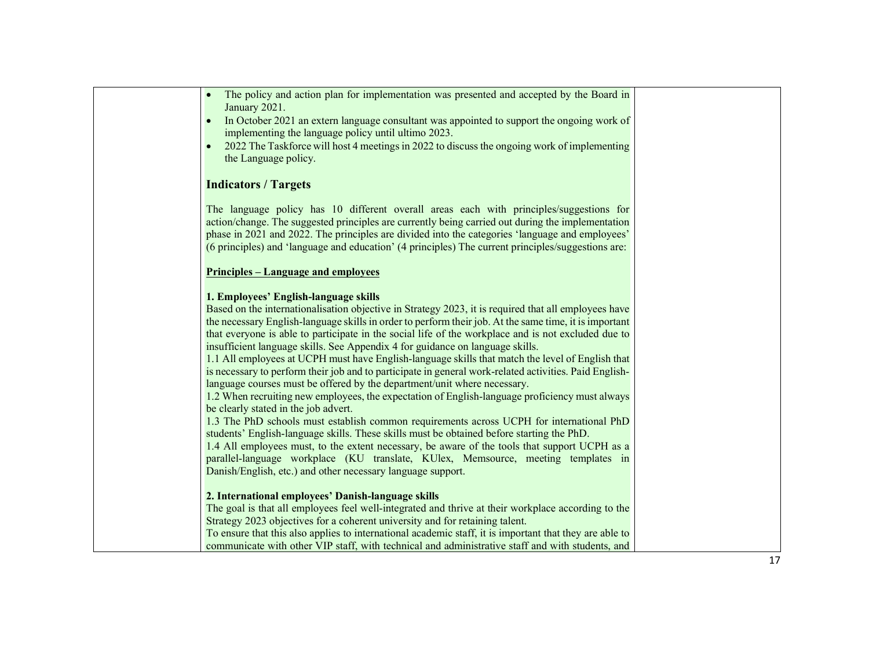| The policy and action plan for implementation was presented and accepted by the Board in<br>January 2021.<br>In October 2021 an extern language consultant was appointed to support the ongoing work of<br>implementing the language policy until ultimo 2023.<br>2022 The Taskforce will host 4 meetings in 2022 to discuss the ongoing work of implementing<br>the Language policy.                                                                                                                                                                                                                                                                                                                                                                                                                                                                                                                                                                                                                                                                                                                                                                                                                                                                                                                                             |  |
|-----------------------------------------------------------------------------------------------------------------------------------------------------------------------------------------------------------------------------------------------------------------------------------------------------------------------------------------------------------------------------------------------------------------------------------------------------------------------------------------------------------------------------------------------------------------------------------------------------------------------------------------------------------------------------------------------------------------------------------------------------------------------------------------------------------------------------------------------------------------------------------------------------------------------------------------------------------------------------------------------------------------------------------------------------------------------------------------------------------------------------------------------------------------------------------------------------------------------------------------------------------------------------------------------------------------------------------|--|
| <b>Indicators / Targets</b>                                                                                                                                                                                                                                                                                                                                                                                                                                                                                                                                                                                                                                                                                                                                                                                                                                                                                                                                                                                                                                                                                                                                                                                                                                                                                                       |  |
| The language policy has 10 different overall areas each with principles/suggestions for<br>action/change. The suggested principles are currently being carried out during the implementation<br>phase in 2021 and 2022. The principles are divided into the categories 'language and employees'<br>(6 principles) and 'language and education' (4 principles) The current principles/suggestions are:                                                                                                                                                                                                                                                                                                                                                                                                                                                                                                                                                                                                                                                                                                                                                                                                                                                                                                                             |  |
| <u><b>Principles – Language and employees</b></u>                                                                                                                                                                                                                                                                                                                                                                                                                                                                                                                                                                                                                                                                                                                                                                                                                                                                                                                                                                                                                                                                                                                                                                                                                                                                                 |  |
| 1. Employees' English-language skills<br>Based on the internationalisation objective in Strategy 2023, it is required that all employees have<br>the necessary English-language skills in order to perform their job. At the same time, it is important<br>that everyone is able to participate in the social life of the workplace and is not excluded due to<br>insufficient language skills. See Appendix 4 for guidance on language skills.<br>1.1 All employees at UCPH must have English-language skills that match the level of English that<br>is necessary to perform their job and to participate in general work-related activities. Paid English-<br>language courses must be offered by the department/unit where necessary.<br>1.2 When recruiting new employees, the expectation of English-language proficiency must always<br>be clearly stated in the job advert.<br>1.3 The PhD schools must establish common requirements across UCPH for international PhD<br>students' English-language skills. These skills must be obtained before starting the PhD.<br>1.4 All employees must, to the extent necessary, be aware of the tools that support UCPH as a<br>parallel-language workplace (KU translate, KUlex, Memsource, meeting templates in<br>Danish/English, etc.) and other necessary language support. |  |
| 2. International employees' Danish-language skills<br>The goal is that all employees feel well-integrated and thrive at their workplace according to the<br>Strategy 2023 objectives for a coherent university and for retaining talent.<br>To ensure that this also applies to international academic staff, it is important that they are able to<br>communicate with other VIP staff, with technical and administrative staff and with students, and                                                                                                                                                                                                                                                                                                                                                                                                                                                                                                                                                                                                                                                                                                                                                                                                                                                                           |  |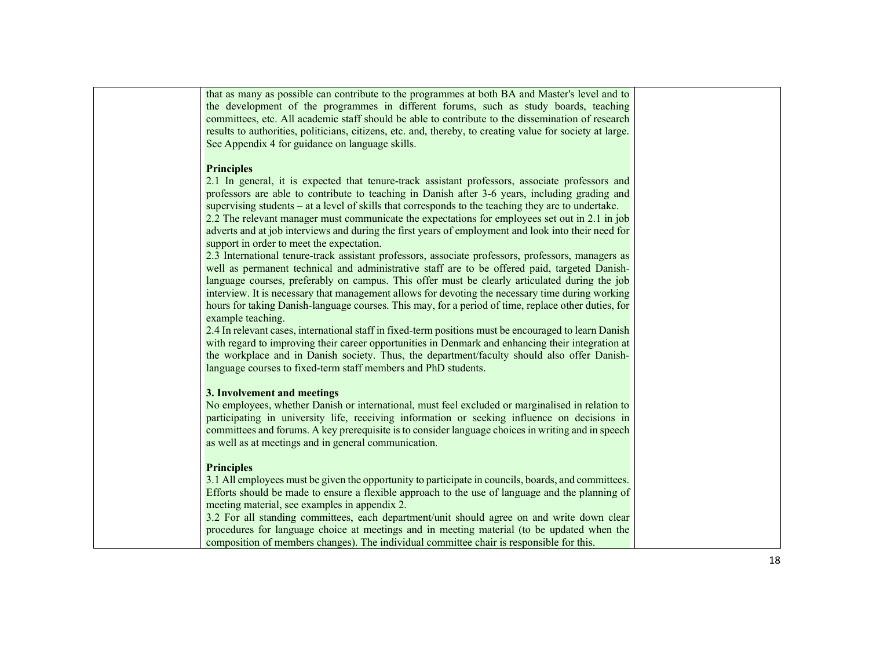that as many as possible can contribute to the programmes at both BA and Master's level and to the development of the programmes in different forums, such as study boards, teaching committees, etc. All academic staff should be able to contribute to the dissemination of research results to authorities, politicians, citizens, etc. and, thereby, to creating value for society at large. See Appendix 4 for guidance on language skills.

#### **Principles**

2.1 In general, it is expected that tenure-track assistant professors, associate professors and professors are able to contribute to teaching in Danish after 3-6 years, including grading and supervising students – at a level of skills that corresponds to the teaching they are to undertake. 2.2 The relevant manager must communicate the expectations for employees set out in 2.1 in job adverts and at job interviews and during the first years of employment and look into their need for support in order to meet the expectation.

2.3 International tenure-track assistant professors, associate professors, professors, managers as well as permanent technical and administrative staff are to be offered paid, targeted Danishlanguage courses, preferably on campus. This offer must be clearly articulated during the job interview. It is necessary that management allows for devoting the necessary time during working hours for taking Danish-language courses. This may, for a period of time, replace other duties, for example teaching.

2.4 In relevant cases, international staff in fixed-term positions must be encouraged to learn Danish with regard to improving their career opportunities in Denmark and enhancing their integration at the workplace and in Danish society. Thus, the department/faculty should also offer Danishlanguage courses to fixed-term staff members and PhD students.

#### 3. Involvement and meetings

No employees, whether Danish or international, must feel excluded or marginalised in relation to participating in university life, receiving information or seeking influence on decisions in committees and forums. A key prerequisite is to consider language choices in writing and in speech as well as at meetings and in general communication.

#### **Principles**

3.1 All employees must be given the opportunity to participate in councils, boards, and committees. Efforts should be made to ensure a flexible approach to the use of language and the planning of meeting material, see examples in appendix 2.

3.2 For all standing committees, each department/unit should agree on and write down clear procedures for language choice at meetings and in meeting material (to be updated when the composition of members changes). The individual committee chair is responsible for this.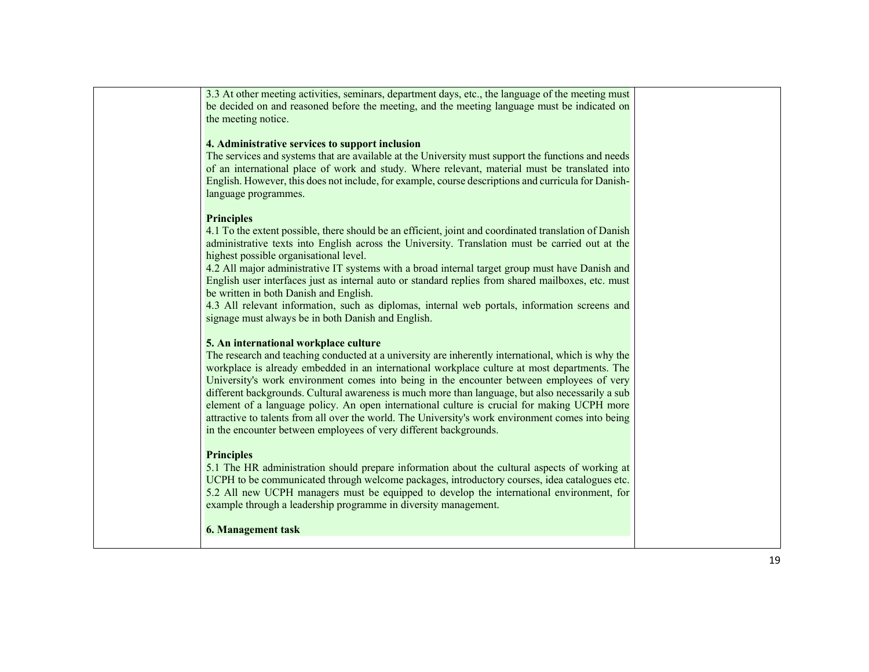| 3.3 At other meeting activities, seminars, department days, etc., the language of the meeting must<br>be decided on and reasoned before the meeting, and the meeting language must be indicated on<br>the meeting notice.                                                                                                                                                                                                                                                                                                                                                                                                                                                                                             |
|-----------------------------------------------------------------------------------------------------------------------------------------------------------------------------------------------------------------------------------------------------------------------------------------------------------------------------------------------------------------------------------------------------------------------------------------------------------------------------------------------------------------------------------------------------------------------------------------------------------------------------------------------------------------------------------------------------------------------|
| 4. Administrative services to support inclusion<br>The services and systems that are available at the University must support the functions and needs<br>of an international place of work and study. Where relevant, material must be translated into<br>English. However, this does not include, for example, course descriptions and curricula for Danish-<br>language programmes.                                                                                                                                                                                                                                                                                                                                 |
| <b>Principles</b><br>4.1 To the extent possible, there should be an efficient, joint and coordinated translation of Danish<br>administrative texts into English across the University. Translation must be carried out at the<br>highest possible organisational level.<br>4.2 All major administrative IT systems with a broad internal target group must have Danish and<br>English user interfaces just as internal auto or standard replies from shared mailboxes, etc. must<br>be written in both Danish and English.<br>4.3 All relevant information, such as diplomas, internal web portals, information screens and<br>signage must always be in both Danish and English.                                     |
| 5. An international workplace culture<br>The research and teaching conducted at a university are inherently international, which is why the<br>workplace is already embedded in an international workplace culture at most departments. The<br>University's work environment comes into being in the encounter between employees of very<br>different backgrounds. Cultural awareness is much more than language, but also necessarily a sub<br>element of a language policy. An open international culture is crucial for making UCPH more<br>attractive to talents from all over the world. The University's work environment comes into being<br>in the encounter between employees of very different backgrounds. |
| <b>Principles</b><br>5.1 The HR administration should prepare information about the cultural aspects of working at<br>UCPH to be communicated through welcome packages, introductory courses, idea catalogues etc.<br>5.2 All new UCPH managers must be equipped to develop the international environment, for<br>example through a leadership programme in diversity management.                                                                                                                                                                                                                                                                                                                                     |
| <b>6. Management task</b>                                                                                                                                                                                                                                                                                                                                                                                                                                                                                                                                                                                                                                                                                             |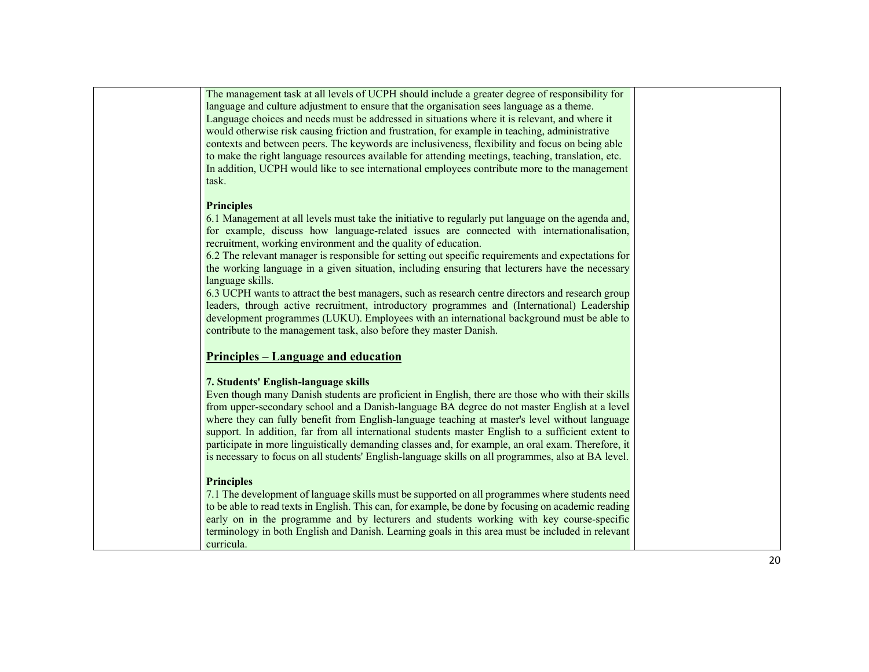| The management task at all levels of UCPH should include a greater degree of responsibility for     |
|-----------------------------------------------------------------------------------------------------|
| language and culture adjustment to ensure that the organisation sees language as a theme.           |
| Language choices and needs must be addressed in situations where it is relevant, and where it       |
| would otherwise risk causing friction and frustration, for example in teaching, administrative      |
| contexts and between peers. The keywords are inclusiveness, flexibility and focus on being able     |
| to make the right language resources available for attending meetings, teaching, translation, etc.  |
| In addition, UCPH would like to see international employees contribute more to the management       |
| task.                                                                                               |
|                                                                                                     |
| <b>Principles</b>                                                                                   |
| 6.1 Management at all levels must take the initiative to regularly put language on the agenda and,  |
| for example, discuss how language-related issues are connected with internationalisation,           |
| recruitment, working environment and the quality of education.                                      |
| 6.2 The relevant manager is responsible for setting out specific requirements and expectations for  |
| the working language in a given situation, including ensuring that lecturers have the necessary     |
| language skills.                                                                                    |
| 6.3 UCPH wants to attract the best managers, such as research centre directors and research group   |
| leaders, through active recruitment, introductory programmes and (International) Leadership         |
| development programmes (LUKU). Employees with an international background must be able to           |
| contribute to the management task, also before they master Danish.                                  |
|                                                                                                     |
| <u><b>Principles – Language and education</b></u>                                                   |
|                                                                                                     |
| 7. Students' English-language skills                                                                |
| Even though many Danish students are proficient in English, there are those who with their skills   |
| from upper-secondary school and a Danish-language BA degree do not master English at a level        |
| where they can fully benefit from English-language teaching at master's level without language      |
| support. In addition, far from all international students master English to a sufficient extent to  |
| participate in more linguistically demanding classes and, for example, an oral exam. Therefore, it  |
| is necessary to focus on all students' English-language skills on all programmes, also at BA level. |
|                                                                                                     |
| <b>Principles</b>                                                                                   |
| 7.1 The development of language skills must be supported on all programmes where students need      |
| to be able to read texts in English. This can, for example, be done by focusing on academic reading |
| early on in the programme and by lecturers and students working with key course-specific            |
| terminology in both English and Danish. Learning goals in this area must be included in relevant    |
| curricula.                                                                                          |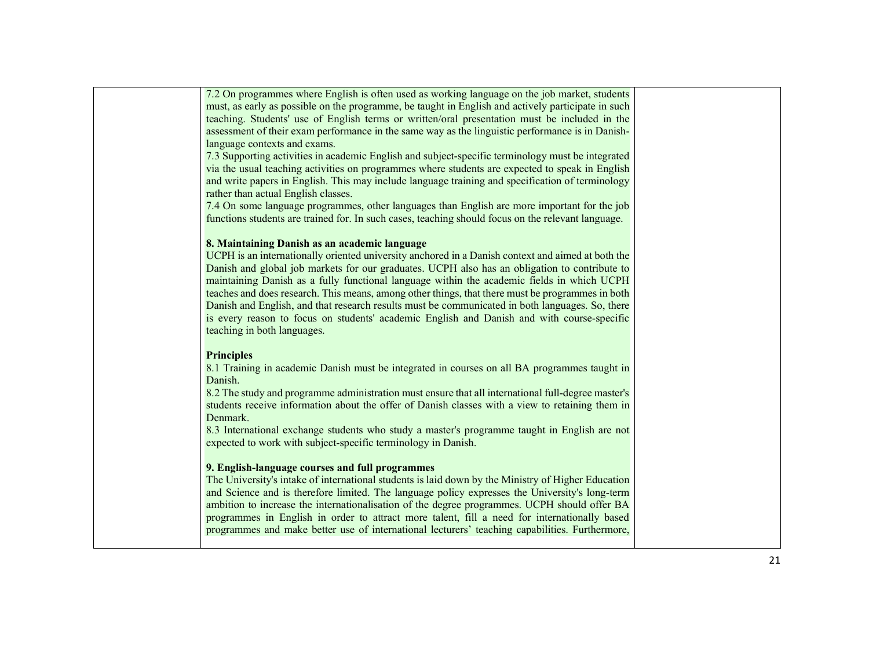| 7.2 On programmes where English is often used as working language on the job market, students               |
|-------------------------------------------------------------------------------------------------------------|
| must, as early as possible on the programme, be taught in English and actively participate in such          |
| teaching. Students' use of English terms or written/oral presentation must be included in the               |
| assessment of their exam performance in the same way as the linguistic performance is in Danish-            |
| language contexts and exams.                                                                                |
| 7.3 Supporting activities in academic English and subject-specific terminology must be integrated           |
| via the usual teaching activities on programmes where students are expected to speak in English             |
| and write papers in English. This may include language training and specification of terminology            |
| rather than actual English classes.                                                                         |
| 7.4 On some language programmes, other languages than English are more important for the job                |
| functions students are trained for. In such cases, teaching should focus on the relevant language.          |
|                                                                                                             |
| 8. Maintaining Danish as an academic language                                                               |
| UCPH is an internationally oriented university anchored in a Danish context and aimed at both the           |
| Danish and global job markets for our graduates. UCPH also has an obligation to contribute to               |
| maintaining Danish as a fully functional language within the academic fields in which UCPH                  |
| teaches and does research. This means, among other things, that there must be programmes in both            |
| Danish and English, and that research results must be communicated in both languages. So, there             |
| is every reason to focus on students' academic English and Danish and with course-specific                  |
| teaching in both languages.                                                                                 |
|                                                                                                             |
| <b>Principles</b>                                                                                           |
| 8.1 Training in academic Danish must be integrated in courses on all BA programmes taught in<br>Danish.     |
| 8.2 The study and programme administration must ensure that all international full-degree master's          |
| students receive information about the offer of Danish classes with a view to retaining them in<br>Denmark. |
| 8.3 International exchange students who study a master's programme taught in English are not                |
| expected to work with subject-specific terminology in Danish.                                               |
|                                                                                                             |
| 9. English-language courses and full programmes                                                             |
| The University's intake of international students is laid down by the Ministry of Higher Education          |
| and Science and is therefore limited. The language policy expresses the University's long-term              |
| ambition to increase the internationalisation of the degree programmes. UCPH should offer BA                |
| programmes in English in order to attract more talent, fill a need for internationally based                |
| programmes and make better use of international lecturers' teaching capabilities. Furthermore,              |
|                                                                                                             |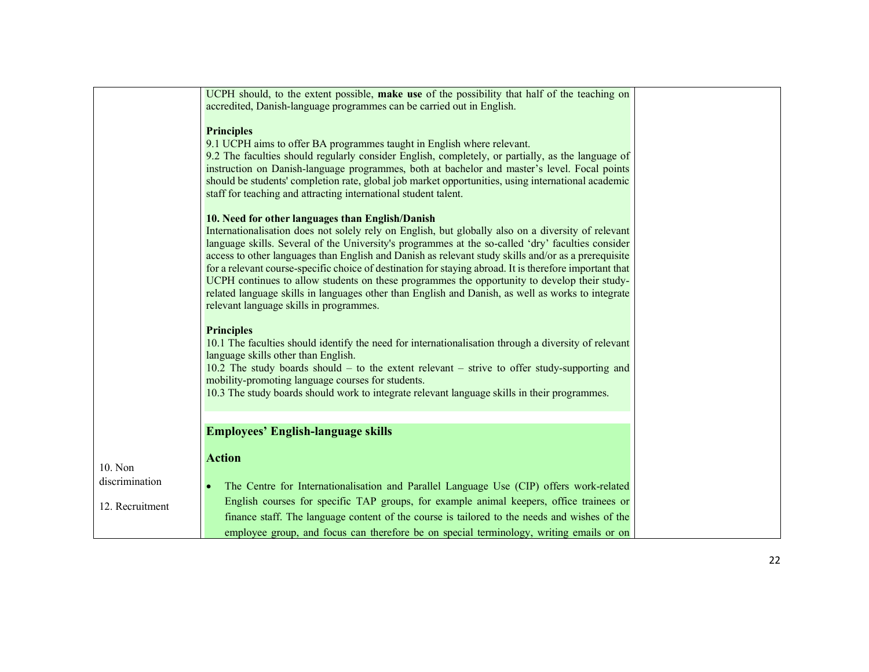| UCPH should, to the extent possible, make use of the possibility that half of the teaching on<br>accredited, Danish-language programmes can be carried out in English.<br><b>Principles</b><br>9.1 UCPH aims to offer BA programmes taught in English where relevant.<br>9.2 The faculties should regularly consider English, completely, or partially, as the language of<br>instruction on Danish-language programmes, both at bachelor and master's level. Focal points<br>should be students' completion rate, global job market opportunities, using international academic<br>staff for teaching and attracting international student talent.<br>10. Need for other languages than English/Danish<br>Internationalisation does not solely rely on English, but globally also on a diversity of relevant<br>language skills. Several of the University's programmes at the so-called 'dry' faculties consider<br>access to other languages than English and Danish as relevant study skills and/or as a prerequisite<br>for a relevant course-specific choice of destination for staying abroad. It is therefore important that<br>UCPH continues to allow students on these programmes the opportunity to develop their study-<br>related language skills in languages other than English and Danish, as well as works to integrate<br>relevant language skills in programmes.<br><b>Principles</b><br>10.1 The faculties should identify the need for internationalisation through a diversity of relevant<br>language skills other than English.<br>10.2 The study boards should – to the extent relevant – strive to offer study-supporting and<br>mobility-promoting language courses for students.<br>10.3 The study boards should work to integrate relevant language skills in their programmes. |  |  |
|---------------------------------------------------------------------------------------------------------------------------------------------------------------------------------------------------------------------------------------------------------------------------------------------------------------------------------------------------------------------------------------------------------------------------------------------------------------------------------------------------------------------------------------------------------------------------------------------------------------------------------------------------------------------------------------------------------------------------------------------------------------------------------------------------------------------------------------------------------------------------------------------------------------------------------------------------------------------------------------------------------------------------------------------------------------------------------------------------------------------------------------------------------------------------------------------------------------------------------------------------------------------------------------------------------------------------------------------------------------------------------------------------------------------------------------------------------------------------------------------------------------------------------------------------------------------------------------------------------------------------------------------------------------------------------------------------------------------------------------------------------------------------------------------------------------|--|--|
|                                                                                                                                                                                                                                                                                                                                                                                                                                                                                                                                                                                                                                                                                                                                                                                                                                                                                                                                                                                                                                                                                                                                                                                                                                                                                                                                                                                                                                                                                                                                                                                                                                                                                                                                                                                                               |  |  |
|                                                                                                                                                                                                                                                                                                                                                                                                                                                                                                                                                                                                                                                                                                                                                                                                                                                                                                                                                                                                                                                                                                                                                                                                                                                                                                                                                                                                                                                                                                                                                                                                                                                                                                                                                                                                               |  |  |
|                                                                                                                                                                                                                                                                                                                                                                                                                                                                                                                                                                                                                                                                                                                                                                                                                                                                                                                                                                                                                                                                                                                                                                                                                                                                                                                                                                                                                                                                                                                                                                                                                                                                                                                                                                                                               |  |  |
|                                                                                                                                                                                                                                                                                                                                                                                                                                                                                                                                                                                                                                                                                                                                                                                                                                                                                                                                                                                                                                                                                                                                                                                                                                                                                                                                                                                                                                                                                                                                                                                                                                                                                                                                                                                                               |  |  |
|                                                                                                                                                                                                                                                                                                                                                                                                                                                                                                                                                                                                                                                                                                                                                                                                                                                                                                                                                                                                                                                                                                                                                                                                                                                                                                                                                                                                                                                                                                                                                                                                                                                                                                                                                                                                               |  |  |
|                                                                                                                                                                                                                                                                                                                                                                                                                                                                                                                                                                                                                                                                                                                                                                                                                                                                                                                                                                                                                                                                                                                                                                                                                                                                                                                                                                                                                                                                                                                                                                                                                                                                                                                                                                                                               |  |  |
|                                                                                                                                                                                                                                                                                                                                                                                                                                                                                                                                                                                                                                                                                                                                                                                                                                                                                                                                                                                                                                                                                                                                                                                                                                                                                                                                                                                                                                                                                                                                                                                                                                                                                                                                                                                                               |  |  |
|                                                                                                                                                                                                                                                                                                                                                                                                                                                                                                                                                                                                                                                                                                                                                                                                                                                                                                                                                                                                                                                                                                                                                                                                                                                                                                                                                                                                                                                                                                                                                                                                                                                                                                                                                                                                               |  |  |
|                                                                                                                                                                                                                                                                                                                                                                                                                                                                                                                                                                                                                                                                                                                                                                                                                                                                                                                                                                                                                                                                                                                                                                                                                                                                                                                                                                                                                                                                                                                                                                                                                                                                                                                                                                                                               |  |  |
|                                                                                                                                                                                                                                                                                                                                                                                                                                                                                                                                                                                                                                                                                                                                                                                                                                                                                                                                                                                                                                                                                                                                                                                                                                                                                                                                                                                                                                                                                                                                                                                                                                                                                                                                                                                                               |  |  |
|                                                                                                                                                                                                                                                                                                                                                                                                                                                                                                                                                                                                                                                                                                                                                                                                                                                                                                                                                                                                                                                                                                                                                                                                                                                                                                                                                                                                                                                                                                                                                                                                                                                                                                                                                                                                               |  |  |
|                                                                                                                                                                                                                                                                                                                                                                                                                                                                                                                                                                                                                                                                                                                                                                                                                                                                                                                                                                                                                                                                                                                                                                                                                                                                                                                                                                                                                                                                                                                                                                                                                                                                                                                                                                                                               |  |  |
|                                                                                                                                                                                                                                                                                                                                                                                                                                                                                                                                                                                                                                                                                                                                                                                                                                                                                                                                                                                                                                                                                                                                                                                                                                                                                                                                                                                                                                                                                                                                                                                                                                                                                                                                                                                                               |  |  |
|                                                                                                                                                                                                                                                                                                                                                                                                                                                                                                                                                                                                                                                                                                                                                                                                                                                                                                                                                                                                                                                                                                                                                                                                                                                                                                                                                                                                                                                                                                                                                                                                                                                                                                                                                                                                               |  |  |
|                                                                                                                                                                                                                                                                                                                                                                                                                                                                                                                                                                                                                                                                                                                                                                                                                                                                                                                                                                                                                                                                                                                                                                                                                                                                                                                                                                                                                                                                                                                                                                                                                                                                                                                                                                                                               |  |  |
|                                                                                                                                                                                                                                                                                                                                                                                                                                                                                                                                                                                                                                                                                                                                                                                                                                                                                                                                                                                                                                                                                                                                                                                                                                                                                                                                                                                                                                                                                                                                                                                                                                                                                                                                                                                                               |  |  |
|                                                                                                                                                                                                                                                                                                                                                                                                                                                                                                                                                                                                                                                                                                                                                                                                                                                                                                                                                                                                                                                                                                                                                                                                                                                                                                                                                                                                                                                                                                                                                                                                                                                                                                                                                                                                               |  |  |
|                                                                                                                                                                                                                                                                                                                                                                                                                                                                                                                                                                                                                                                                                                                                                                                                                                                                                                                                                                                                                                                                                                                                                                                                                                                                                                                                                                                                                                                                                                                                                                                                                                                                                                                                                                                                               |  |  |
|                                                                                                                                                                                                                                                                                                                                                                                                                                                                                                                                                                                                                                                                                                                                                                                                                                                                                                                                                                                                                                                                                                                                                                                                                                                                                                                                                                                                                                                                                                                                                                                                                                                                                                                                                                                                               |  |  |
|                                                                                                                                                                                                                                                                                                                                                                                                                                                                                                                                                                                                                                                                                                                                                                                                                                                                                                                                                                                                                                                                                                                                                                                                                                                                                                                                                                                                                                                                                                                                                                                                                                                                                                                                                                                                               |  |  |
|                                                                                                                                                                                                                                                                                                                                                                                                                                                                                                                                                                                                                                                                                                                                                                                                                                                                                                                                                                                                                                                                                                                                                                                                                                                                                                                                                                                                                                                                                                                                                                                                                                                                                                                                                                                                               |  |  |
| <b>Employees' English-language skills</b>                                                                                                                                                                                                                                                                                                                                                                                                                                                                                                                                                                                                                                                                                                                                                                                                                                                                                                                                                                                                                                                                                                                                                                                                                                                                                                                                                                                                                                                                                                                                                                                                                                                                                                                                                                     |  |  |
| <b>Action</b>                                                                                                                                                                                                                                                                                                                                                                                                                                                                                                                                                                                                                                                                                                                                                                                                                                                                                                                                                                                                                                                                                                                                                                                                                                                                                                                                                                                                                                                                                                                                                                                                                                                                                                                                                                                                 |  |  |
| 10. Non                                                                                                                                                                                                                                                                                                                                                                                                                                                                                                                                                                                                                                                                                                                                                                                                                                                                                                                                                                                                                                                                                                                                                                                                                                                                                                                                                                                                                                                                                                                                                                                                                                                                                                                                                                                                       |  |  |
| discrimination<br>The Centre for Internationalisation and Parallel Language Use (CIP) offers work-related                                                                                                                                                                                                                                                                                                                                                                                                                                                                                                                                                                                                                                                                                                                                                                                                                                                                                                                                                                                                                                                                                                                                                                                                                                                                                                                                                                                                                                                                                                                                                                                                                                                                                                     |  |  |
| English courses for specific TAP groups, for example animal keepers, office trainees or                                                                                                                                                                                                                                                                                                                                                                                                                                                                                                                                                                                                                                                                                                                                                                                                                                                                                                                                                                                                                                                                                                                                                                                                                                                                                                                                                                                                                                                                                                                                                                                                                                                                                                                       |  |  |
| 12. Recruitment<br>finance staff. The language content of the course is tailored to the needs and wishes of the                                                                                                                                                                                                                                                                                                                                                                                                                                                                                                                                                                                                                                                                                                                                                                                                                                                                                                                                                                                                                                                                                                                                                                                                                                                                                                                                                                                                                                                                                                                                                                                                                                                                                               |  |  |
| employee group, and focus can therefore be on special terminology, writing emails or on                                                                                                                                                                                                                                                                                                                                                                                                                                                                                                                                                                                                                                                                                                                                                                                                                                                                                                                                                                                                                                                                                                                                                                                                                                                                                                                                                                                                                                                                                                                                                                                                                                                                                                                       |  |  |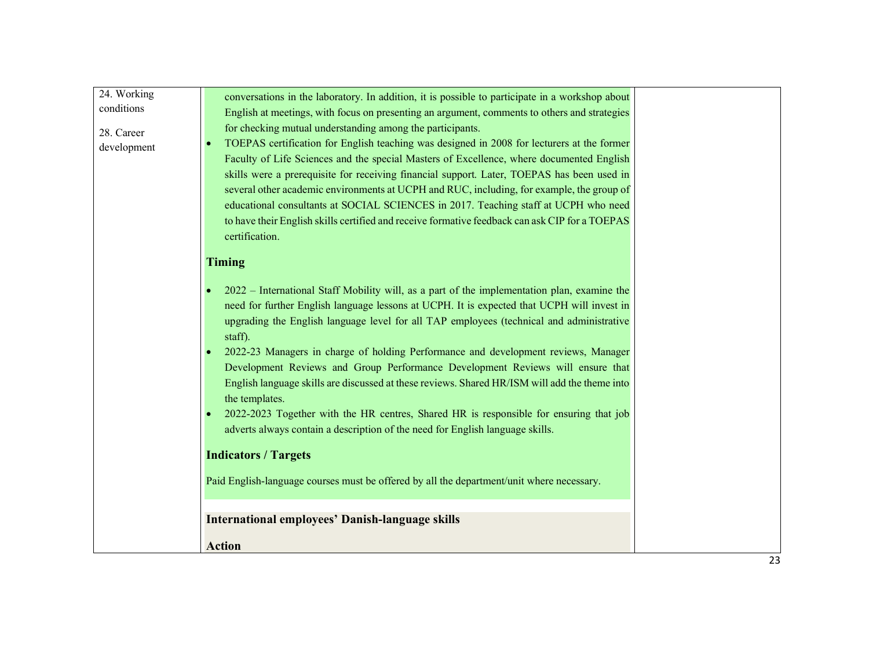| 24. Working | conversations in the laboratory. In addition, it is possible to participate in a workshop about |    |
|-------------|-------------------------------------------------------------------------------------------------|----|
| conditions  | English at meetings, with focus on presenting an argument, comments to others and strategies    |    |
|             | for checking mutual understanding among the participants.                                       |    |
| 28. Career  | TOEPAS certification for English teaching was designed in 2008 for lecturers at the former      |    |
| development |                                                                                                 |    |
|             | Faculty of Life Sciences and the special Masters of Excellence, where documented English        |    |
|             | skills were a prerequisite for receiving financial support. Later, TOEPAS has been used in      |    |
|             | several other academic environments at UCPH and RUC, including, for example, the group of       |    |
|             | educational consultants at SOCIAL SCIENCES in 2017. Teaching staff at UCPH who need             |    |
|             | to have their English skills certified and receive formative feedback can ask CIP for a TOEPAS  |    |
|             | certification.                                                                                  |    |
|             | <b>Timing</b>                                                                                   |    |
|             |                                                                                                 |    |
|             | 2022 – International Staff Mobility will, as a part of the implementation plan, examine the     |    |
|             | need for further English language lessons at UCPH. It is expected that UCPH will invest in      |    |
|             | upgrading the English language level for all TAP employees (technical and administrative        |    |
|             | staff).                                                                                         |    |
|             | 2022-23 Managers in charge of holding Performance and development reviews, Manager              |    |
|             | Development Reviews and Group Performance Development Reviews will ensure that                  |    |
|             | English language skills are discussed at these reviews. Shared HR/ISM will add the theme into   |    |
|             | the templates.                                                                                  |    |
|             | 2022-2023 Together with the HR centres, Shared HR is responsible for ensuring that job          |    |
|             | adverts always contain a description of the need for English language skills.                   |    |
|             |                                                                                                 |    |
|             | <b>Indicators / Targets</b>                                                                     |    |
|             |                                                                                                 |    |
|             | Paid English-language courses must be offered by all the department/unit where necessary.       |    |
|             |                                                                                                 |    |
|             | <b>International employees' Danish-language skills</b>                                          |    |
|             |                                                                                                 |    |
|             | <b>Action</b>                                                                                   |    |
|             |                                                                                                 | 23 |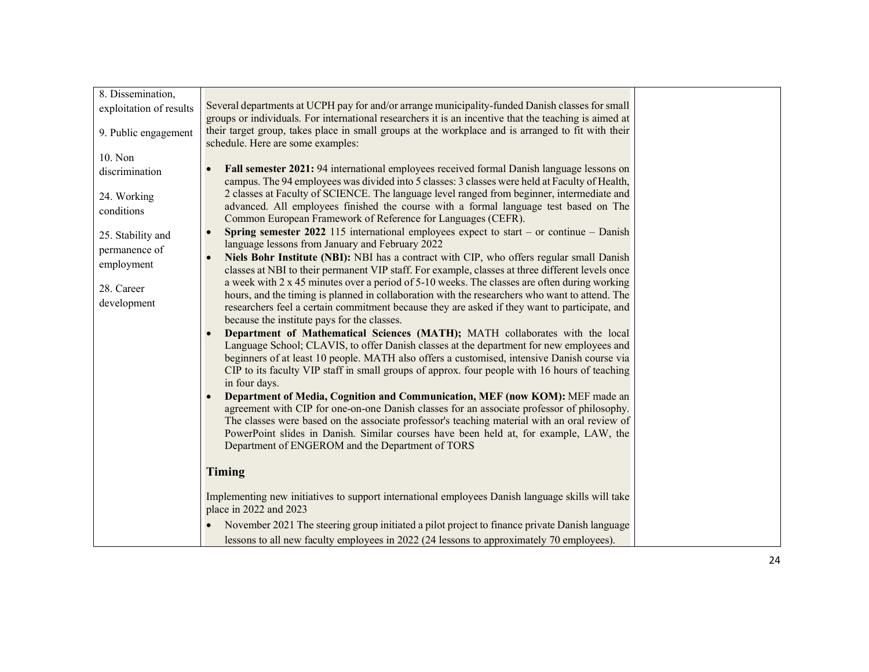| 8. Dissemination,                  |                                                                                                                                                                                                                                                    |  |
|------------------------------------|----------------------------------------------------------------------------------------------------------------------------------------------------------------------------------------------------------------------------------------------------|--|
| exploitation of results            | Several departments at UCPH pay for and/or arrange municipality-funded Danish classes for small                                                                                                                                                    |  |
|                                    | groups or individuals. For international researchers it is an incentive that the teaching is aimed at<br>their target group, takes place in small groups at the workplace and is arranged to fit with their                                        |  |
| 9. Public engagement               | schedule. Here are some examples:                                                                                                                                                                                                                  |  |
| 10. Non                            |                                                                                                                                                                                                                                                    |  |
| discrimination                     | <b>Fall semester 2021:</b> 94 international employees received formal Danish language lessons on<br>campus. The 94 employees was divided into 5 classes: 3 classes were held at Faculty of Health,                                                 |  |
| 24. Working<br>conditions          | 2 classes at Faculty of SCIENCE. The language level ranged from beginner, intermediate and<br>advanced. All employees finished the course with a formal language test based on The<br>Common European Framework of Reference for Languages (CEFR). |  |
| 25. Stability and<br>permanence of | <b>Spring semester 2022</b> 115 international employees expect to start – or continue – Danish<br>language lessons from January and February 2022                                                                                                  |  |
| employment                         | Niels Bohr Institute (NBI): NBI has a contract with CIP, who offers regular small Danish<br>classes at NBI to their permanent VIP staff. For example, classes at three different levels once                                                       |  |
| 28. Career<br>development          | a week with 2 x 45 minutes over a period of 5-10 weeks. The classes are often during working<br>hours, and the timing is planned in collaboration with the researchers who want to attend. The                                                     |  |
|                                    | researchers feel a certain commitment because they are asked if they want to participate, and<br>because the institute pays for the classes.                                                                                                       |  |
|                                    | Department of Mathematical Sciences (MATH); MATH collaborates with the local<br>$\bullet$                                                                                                                                                          |  |
|                                    | Language School; CLAVIS, to offer Danish classes at the department for new employees and<br>beginners of at least 10 people. MATH also offers a customised, intensive Danish course via                                                            |  |
|                                    | CIP to its faculty VIP staff in small groups of approx. four people with 16 hours of teaching<br>in four days.                                                                                                                                     |  |
|                                    | Department of Media, Cognition and Communication, MEF (now KOM): MEF made an                                                                                                                                                                       |  |
|                                    | agreement with CIP for one-on-one Danish classes for an associate professor of philosophy.                                                                                                                                                         |  |
|                                    | The classes were based on the associate professor's teaching material with an oral review of                                                                                                                                                       |  |
|                                    | PowerPoint slides in Danish. Similar courses have been held at, for example, LAW, the<br>Department of ENGEROM and the Department of TORS                                                                                                          |  |
|                                    | Timing                                                                                                                                                                                                                                             |  |
|                                    | Implementing new initiatives to support international employees Danish language skills will take<br>place in 2022 and 2023                                                                                                                         |  |
|                                    | November 2021 The steering group initiated a pilot project to finance private Danish language<br>$\bullet$                                                                                                                                         |  |
|                                    | lessons to all new faculty employees in 2022 (24 lessons to approximately 70 employees).                                                                                                                                                           |  |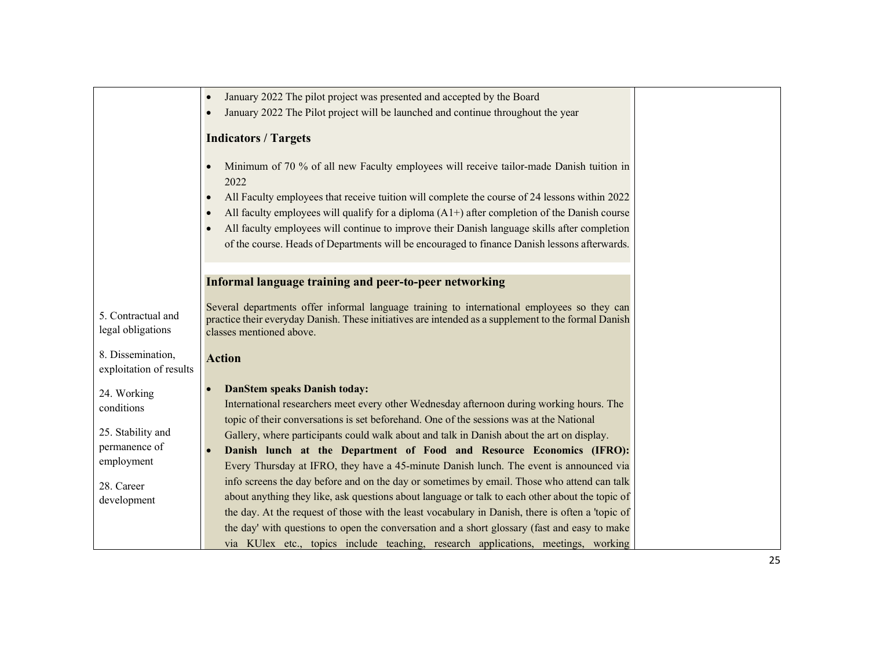|                                              | January 2022 The pilot project was presented and accepted by the Board<br>$\bullet$                                                                                                                                            |
|----------------------------------------------|--------------------------------------------------------------------------------------------------------------------------------------------------------------------------------------------------------------------------------|
|                                              | January 2022 The Pilot project will be launched and continue throughout the year<br>$\bullet$                                                                                                                                  |
|                                              |                                                                                                                                                                                                                                |
|                                              | <b>Indicators / Targets</b>                                                                                                                                                                                                    |
|                                              | Minimum of 70 % of all new Faculty employees will receive tailor-made Danish tuition in<br>$\bullet$<br>2022<br>All Faculty employees that receive tuition will complete the course of 24 lessons within 2022<br>$\bullet$     |
|                                              | All faculty employees will qualify for a diploma $(A1+)$ after completion of the Danish course<br>$\bullet$                                                                                                                    |
|                                              | All faculty employees will continue to improve their Danish language skills after completion<br>$\bullet$                                                                                                                      |
|                                              | of the course. Heads of Departments will be encouraged to finance Danish lessons afterwards.                                                                                                                                   |
|                                              |                                                                                                                                                                                                                                |
|                                              |                                                                                                                                                                                                                                |
|                                              | Informal language training and peer-to-peer networking                                                                                                                                                                         |
| 5. Contractual and<br>legal obligations      | Several departments offer informal language training to international employees so they can<br>practice their everyday Danish. These initiatives are intended as a supplement to the formal Danish<br>classes mentioned above. |
| 8. Dissemination,<br>exploitation of results | <b>Action</b>                                                                                                                                                                                                                  |
| 24. Working                                  | <b>DanStem speaks Danish today:</b>                                                                                                                                                                                            |
| conditions                                   | International researchers meet every other Wednesday afternoon during working hours. The                                                                                                                                       |
|                                              | topic of their conversations is set beforehand. One of the sessions was at the National                                                                                                                                        |
| 25. Stability and                            | Gallery, where participants could walk about and talk in Danish about the art on display.                                                                                                                                      |
| permanence of                                | Danish lunch at the Department of Food and Resource Economics (IFRO):                                                                                                                                                          |
| employment                                   | Every Thursday at IFRO, they have a 45-minute Danish lunch. The event is announced via                                                                                                                                         |
| 28. Career                                   | info screens the day before and on the day or sometimes by email. Those who attend can talk                                                                                                                                    |
| development                                  | about anything they like, ask questions about language or talk to each other about the topic of                                                                                                                                |
|                                              | the day. At the request of those with the least vocabulary in Danish, there is often a 'topic of                                                                                                                               |
|                                              | the day' with questions to open the conversation and a short glossary (fast and easy to make                                                                                                                                   |
|                                              | via KUlex etc., topics include teaching, research applications, meetings, working                                                                                                                                              |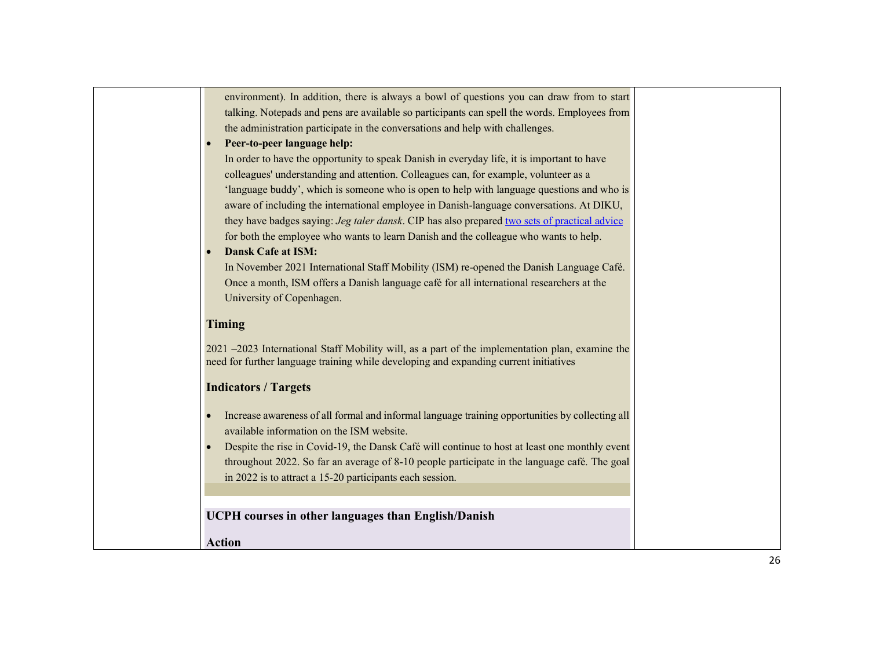| environment). In addition, there is always a bowl of questions you can draw from to start<br>talking. Notepads and pens are available so participants can spell the words. Employees from<br>the administration participate in the conversations and help with challenges.<br>Peer-to-peer language help:<br>In order to have the opportunity to speak Danish in everyday life, it is important to have<br>colleagues' understanding and attention. Colleagues can, for example, volunteer as a<br>'language buddy', which is someone who is open to help with language questions and who is<br>aware of including the international employee in Danish-language conversations. At DIKU,<br>they have badges saying: Jeg taler dansk. CIP has also prepared two sets of practical advice<br>for both the employee who wants to learn Danish and the colleague who wants to help.<br><b>Dansk Cafe at ISM:</b><br>In November 2021 International Staff Mobility (ISM) re-opened the Danish Language Café.<br>Once a month, ISM offers a Danish language café for all international researchers at the<br>University of Copenhagen. |  |
|-----------------------------------------------------------------------------------------------------------------------------------------------------------------------------------------------------------------------------------------------------------------------------------------------------------------------------------------------------------------------------------------------------------------------------------------------------------------------------------------------------------------------------------------------------------------------------------------------------------------------------------------------------------------------------------------------------------------------------------------------------------------------------------------------------------------------------------------------------------------------------------------------------------------------------------------------------------------------------------------------------------------------------------------------------------------------------------------------------------------------------------|--|
| <b>Timing</b>                                                                                                                                                                                                                                                                                                                                                                                                                                                                                                                                                                                                                                                                                                                                                                                                                                                                                                                                                                                                                                                                                                                     |  |
| 2021 –2023 International Staff Mobility will, as a part of the implementation plan, examine the<br>need for further language training while developing and expanding current initiatives                                                                                                                                                                                                                                                                                                                                                                                                                                                                                                                                                                                                                                                                                                                                                                                                                                                                                                                                          |  |
| <b>Indicators / Targets</b>                                                                                                                                                                                                                                                                                                                                                                                                                                                                                                                                                                                                                                                                                                                                                                                                                                                                                                                                                                                                                                                                                                       |  |
| Increase awareness of all formal and informal language training opportunities by collecting all<br>available information on the ISM website.<br>Despite the rise in Covid-19, the Dansk Café will continue to host at least one monthly event<br>throughout 2022. So far an average of 8-10 people participate in the language café. The goal<br>in 2022 is to attract a 15-20 participants each session.                                                                                                                                                                                                                                                                                                                                                                                                                                                                                                                                                                                                                                                                                                                         |  |
| <b>UCPH</b> courses in other languages than English/Danish                                                                                                                                                                                                                                                                                                                                                                                                                                                                                                                                                                                                                                                                                                                                                                                                                                                                                                                                                                                                                                                                        |  |
| <b>Action</b>                                                                                                                                                                                                                                                                                                                                                                                                                                                                                                                                                                                                                                                                                                                                                                                                                                                                                                                                                                                                                                                                                                                     |  |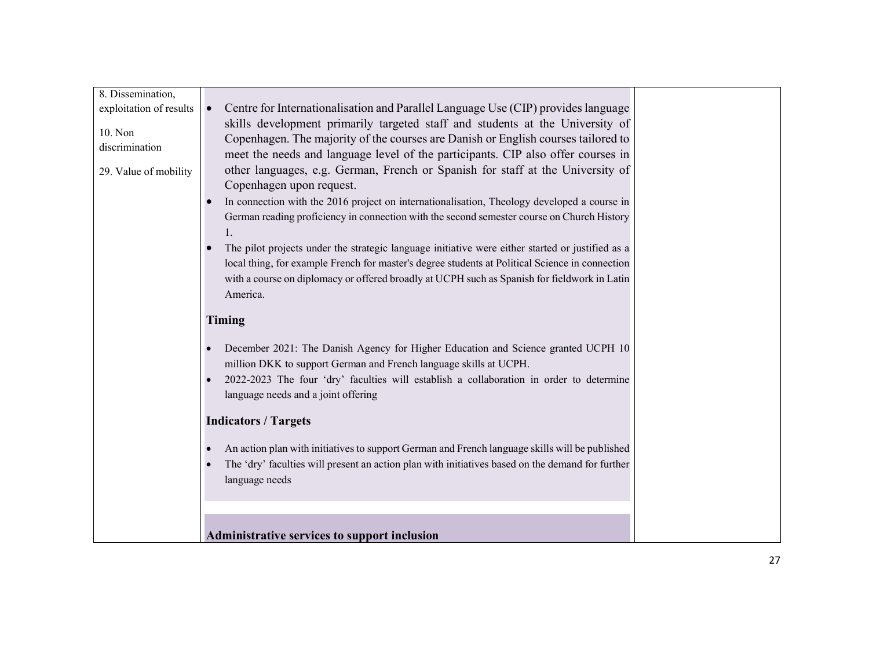| 8. Dissemination,         |                                                                                                                                                                                                                                                                                                                 |  |
|---------------------------|-----------------------------------------------------------------------------------------------------------------------------------------------------------------------------------------------------------------------------------------------------------------------------------------------------------------|--|
| exploitation of results   | Centre for Internationalisation and Parallel Language Use (CIP) provides language                                                                                                                                                                                                                               |  |
| 10. Non<br>discrimination | skills development primarily targeted staff and students at the University of<br>Copenhagen. The majority of the courses are Danish or English courses tailored to<br>meet the needs and language level of the participants. CIP also offer courses in                                                          |  |
| 29. Value of mobility     | other languages, e.g. German, French or Spanish for staff at the University of<br>Copenhagen upon request.                                                                                                                                                                                                      |  |
|                           | In connection with the 2016 project on internationalisation, Theology developed a course in                                                                                                                                                                                                                     |  |
|                           | German reading proficiency in connection with the second semester course on Church History<br>1.                                                                                                                                                                                                                |  |
|                           | The pilot projects under the strategic language initiative were either started or justified as a<br>local thing, for example French for master's degree students at Political Science in connection<br>with a course on diplomacy or offered broadly at UCPH such as Spanish for fieldwork in Latin<br>America. |  |
|                           | Timing                                                                                                                                                                                                                                                                                                          |  |
|                           | December 2021: The Danish Agency for Higher Education and Science granted UCPH 10<br>million DKK to support German and French language skills at UCPH.                                                                                                                                                          |  |
|                           | 2022-2023 The four 'dry' faculties will establish a collaboration in order to determine<br>language needs and a joint offering                                                                                                                                                                                  |  |
|                           | <b>Indicators / Targets</b>                                                                                                                                                                                                                                                                                     |  |
|                           | An action plan with initiatives to support German and French language skills will be published<br>The 'dry' faculties will present an action plan with initiatives based on the demand for further<br>language needs                                                                                            |  |
|                           |                                                                                                                                                                                                                                                                                                                 |  |
|                           | Administrative services to support inclusion                                                                                                                                                                                                                                                                    |  |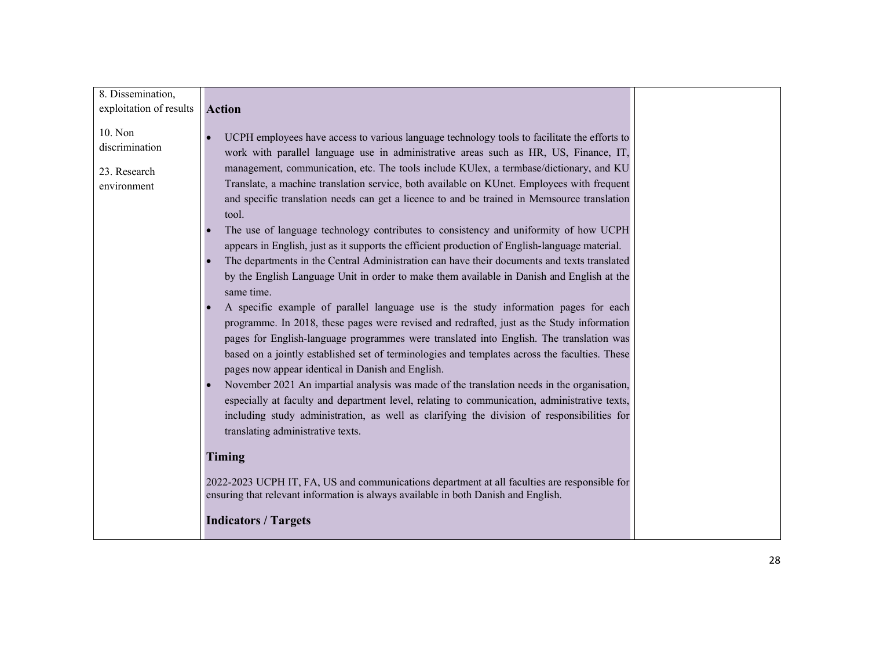| 8. Dissemination,         |                                                                                                                                                                                      |  |
|---------------------------|--------------------------------------------------------------------------------------------------------------------------------------------------------------------------------------|--|
|                           |                                                                                                                                                                                      |  |
| exploitation of results   | <b>Action</b>                                                                                                                                                                        |  |
| 10. Non<br>discrimination | UCPH employees have access to various language technology tools to facilitate the efforts to<br>work with parallel language use in administrative areas such as HR, US, Finance, IT, |  |
| 23. Research              | management, communication, etc. The tools include KUlex, a termbase/dictionary, and KU                                                                                               |  |
| environment               | Translate, a machine translation service, both available on KUnet. Employees with frequent                                                                                           |  |
|                           | and specific translation needs can get a licence to and be trained in Memsource translation<br>tool.                                                                                 |  |
|                           | The use of language technology contributes to consistency and uniformity of how UCPH                                                                                                 |  |
|                           | appears in English, just as it supports the efficient production of English-language material.                                                                                       |  |
|                           | The departments in the Central Administration can have their documents and texts translated                                                                                          |  |
|                           | by the English Language Unit in order to make them available in Danish and English at the                                                                                            |  |
|                           | same time.                                                                                                                                                                           |  |
|                           | A specific example of parallel language use is the study information pages for each                                                                                                  |  |
|                           | programme. In 2018, these pages were revised and redrafted, just as the Study information                                                                                            |  |
|                           | pages for English-language programmes were translated into English. The translation was                                                                                              |  |
|                           | based on a jointly established set of terminologies and templates across the faculties. These                                                                                        |  |
|                           | pages now appear identical in Danish and English.                                                                                                                                    |  |
|                           | November 2021 An impartial analysis was made of the translation needs in the organisation,                                                                                           |  |
|                           | especially at faculty and department level, relating to communication, administrative texts,                                                                                         |  |
|                           | including study administration, as well as clarifying the division of responsibilities for                                                                                           |  |
|                           | translating administrative texts.                                                                                                                                                    |  |
|                           |                                                                                                                                                                                      |  |
|                           | Timing                                                                                                                                                                               |  |
|                           | 2022-2023 UCPH IT, FA, US and communications department at all faculties are responsible for<br>ensuring that relevant information is always available in both Danish and English.   |  |
|                           | <b>Indicators / Targets</b>                                                                                                                                                          |  |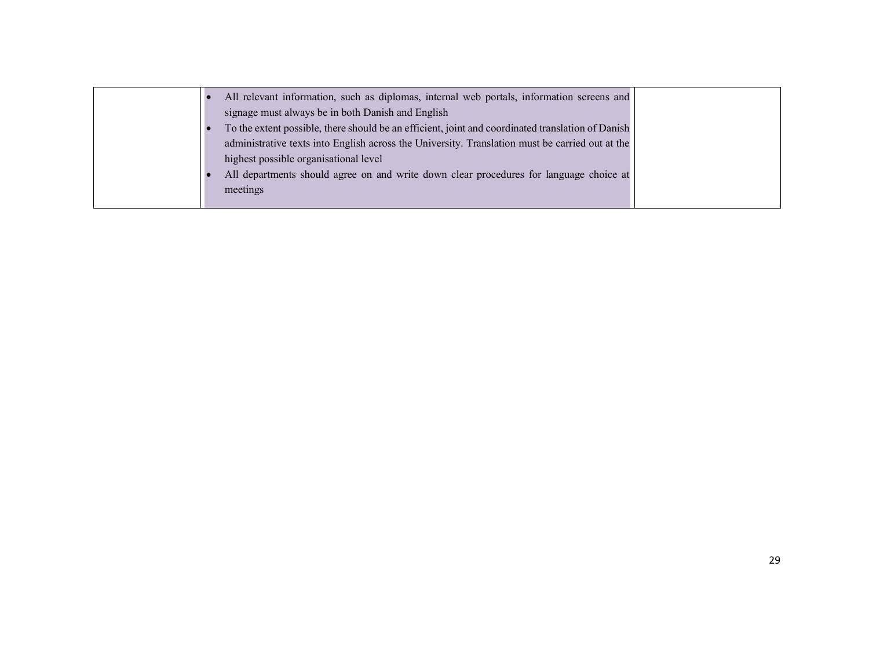| All relevant information, such as diplomas, internal web portals, information screens and         |  |
|---------------------------------------------------------------------------------------------------|--|
| signage must always be in both Danish and English                                                 |  |
| To the extent possible, there should be an efficient, joint and coordinated translation of Danish |  |
| administrative texts into English across the University. Translation must be carried out at the   |  |
| highest possible organisational level                                                             |  |
| All departments should agree on and write down clear procedures for language choice at            |  |
| meetings                                                                                          |  |
|                                                                                                   |  |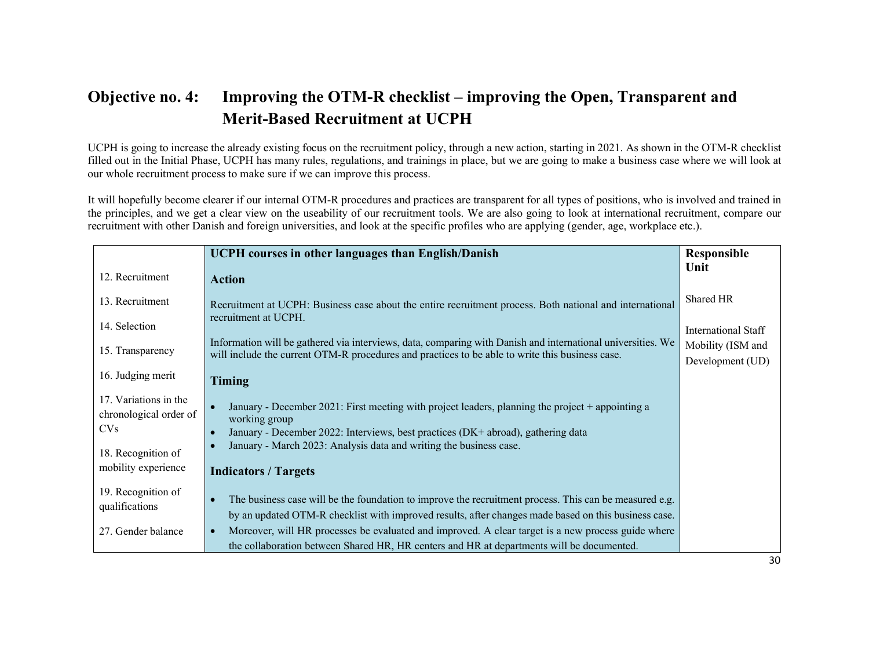### Objective no. 4: Improving the OTM-R checklist – improving the Open, Transparent and Merit-Based Recruitment at UCPH

UCPH is going to increase the already existing focus on the recruitment policy, through a new action, starting in 2021. As shown in the OTM-R checklist filled out in the Initial Phase, UCPH has many rules, regulations, and trainings in place, but we are going to make a business case where we will look at our whole recruitment process to make sure if we can improve this process.

It will hopefully become clearer if our internal OTM-R procedures and practices are transparent for all types of positions, who is involved and trained in the principles, and we get a clear view on the useability of our recruitment tools. We are also going to look at international recruitment, compare our recruitment with other Danish and foreign universities, and look at the specific profiles who are applying (gender, age, workplace etc.).

|                        | <b>UCPH</b> courses in other languages than English/Danish                                                      | Responsible         |
|------------------------|-----------------------------------------------------------------------------------------------------------------|---------------------|
| 12. Recruitment        |                                                                                                                 | Unit                |
|                        | <b>Action</b>                                                                                                   |                     |
| 13. Recruitment        | Recruitment at UCPH: Business case about the entire recruitment process. Both national and international        | Shared HR           |
| 14. Selection          | recruitment at UCPH.                                                                                            | International Staff |
| 15. Transparency       | Information will be gathered via interviews, data, comparing with Danish and international universities. We     | Mobility (ISM and   |
|                        | will include the current OTM-R procedures and practices to be able to write this business case.                 | Development (UD)    |
| 16. Judging merit      | Timing                                                                                                          |                     |
| 17. Variations in the  | January - December 2021: First meeting with project leaders, planning the project + appointing a                |                     |
| chronological order of | working group                                                                                                   |                     |
| CV <sub>S</sub>        | January - December 2022: Interviews, best practices (DK+ abroad), gathering data                                |                     |
| 18. Recognition of     | January - March 2023: Analysis data and writing the business case.                                              |                     |
| mobility experience    | <b>Indicators / Targets</b>                                                                                     |                     |
|                        |                                                                                                                 |                     |
| 19. Recognition of     | The business case will be the foundation to improve the recruitment process. This can be measured e.g.          |                     |
| qualifications         | by an updated OTM-R checklist with improved results, after changes made based on this business case.            |                     |
| 27. Gender balance     | Moreover, will HR processes be evaluated and improved. A clear target is a new process guide where<br>$\bullet$ |                     |
|                        | the collaboration between Shared HR, HR centers and HR at departments will be documented.                       |                     |